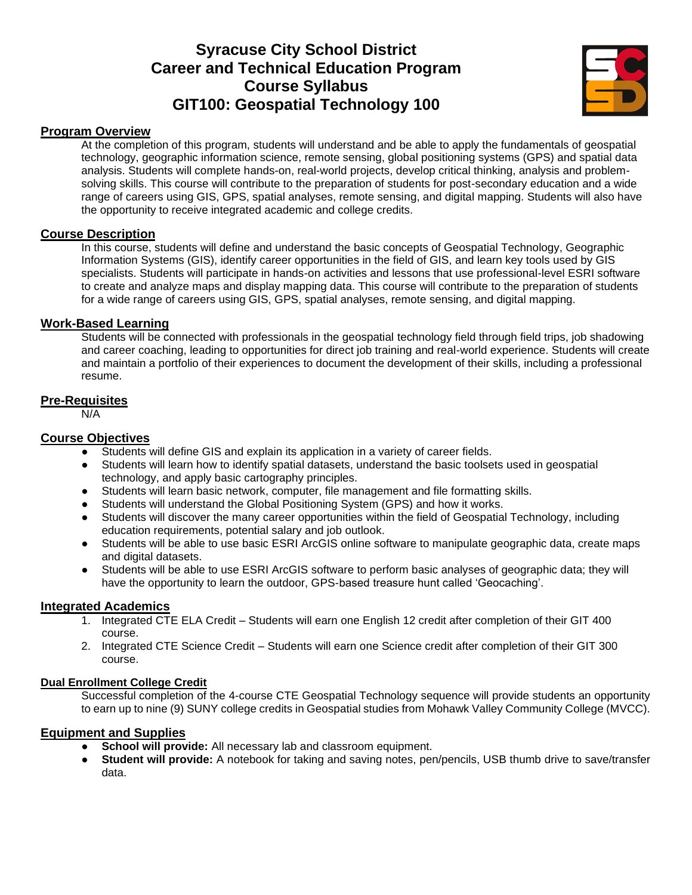## **Syracuse City School District Career and Technical Education Program Course Syllabus GIT100: Geospatial Technology 100**



#### **Program Overview**

At the completion of this program, students will understand and be able to apply the fundamentals of geospatial technology, geographic information science, remote sensing, global positioning systems (GPS) and spatial data analysis. Students will complete hands-on, real-world projects, develop critical thinking, analysis and problemsolving skills. This course will contribute to the preparation of students for post-secondary education and a wide range of careers using GIS, GPS, spatial analyses, remote sensing, and digital mapping. Students will also have the opportunity to receive integrated academic and college credits.

#### **Course Description**

In this course, students will define and understand the basic concepts of Geospatial Technology, Geographic Information Systems (GIS), identify career opportunities in the field of GIS, and learn key tools used by GIS specialists. Students will participate in hands-on activities and lessons that use professional-level ESRI software to create and analyze maps and display mapping data. This course will contribute to the preparation of students for a wide range of careers using GIS, GPS, spatial analyses, remote sensing, and digital mapping.

#### **Work-Based Learning**

Students will be connected with professionals in the geospatial technology field through field trips, job shadowing and career coaching, leading to opportunities for direct job training and real-world experience. Students will create and maintain a portfolio of their experiences to document the development of their skills, including a professional resume.

#### **Pre-Requisites**

N/A

#### **Course Objectives**

- Students will define GIS and explain its application in a variety of career fields.
- Students will learn how to identify spatial datasets, understand the basic toolsets used in geospatial technology, and apply basic cartography principles.
- Students will learn basic network, computer, file management and file formatting skills.
- Students will understand the Global Positioning System (GPS) and how it works.
- Students will discover the many career opportunities within the field of Geospatial Technology, including education requirements, potential salary and job outlook.
- Students will be able to use basic ESRI ArcGIS online software to manipulate geographic data, create maps and digital datasets.
- Students will be able to use ESRI ArcGIS software to perform basic analyses of geographic data; they will have the opportunity to learn the outdoor, GPS-based treasure hunt called 'Geocaching'.

#### **Integrated Academics**

- 1. Integrated CTE ELA Credit Students will earn one English 12 credit after completion of their GIT 400 course.
- 2. Integrated CTE Science Credit Students will earn one Science credit after completion of their GIT 300 course.

#### **Dual Enrollment College Credit**

Successful completion of the 4-course CTE Geospatial Technology sequence will provide students an opportunity to earn up to nine (9) SUNY college credits in Geospatial studies from Mohawk Valley Community College (MVCC).

#### **Equipment and Supplies**

- **School will provide:** All necessary lab and classroom equipment.
- **Student will provide:** A notebook for taking and saving notes, pen/pencils, USB thumb drive to save/transfer data.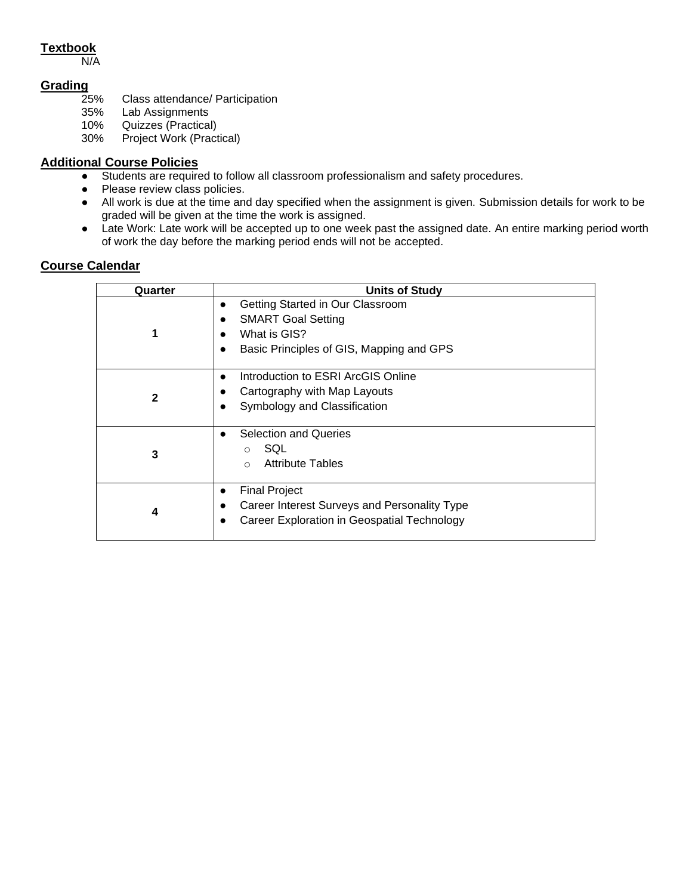#### **Textbook**

N/A

# Grading<sub>25%</sub>

- Class attendance/ Participation
- 35% Lab Assignments
- 10% Quizzes (Practical)<br>30% Project Work (Pract
- Project Work (Practical)

#### **Additional Course Policies**

- Students are required to follow all classroom professionalism and safety procedures.
- Please review class policies.
- All work is due at the time and day specified when the assignment is given. Submission details for work to be graded will be given at the time the work is assigned.
- Late Work: Late work will be accepted up to one week past the assigned date. An entire marking period worth of work the day before the marking period ends will not be accepted.

| Quarter      | <b>Units of Study</b>                                                                                                            |
|--------------|----------------------------------------------------------------------------------------------------------------------------------|
|              | Getting Started in Our Classroom<br><b>SMART Goal Setting</b><br>What is GIS?<br>Basic Principles of GIS, Mapping and GPS        |
| $\mathbf{c}$ | Introduction to ESRI ArcGIS Online<br>Cartography with Map Layouts<br>Symbology and Classification                               |
| 3            | <b>Selection and Queries</b><br>SQL<br>$\bigcirc$<br><b>Attribute Tables</b><br>$\bigcirc$                                       |
| 4            | <b>Final Project</b><br>$\bullet$<br>Career Interest Surveys and Personality Type<br>Career Exploration in Geospatial Technology |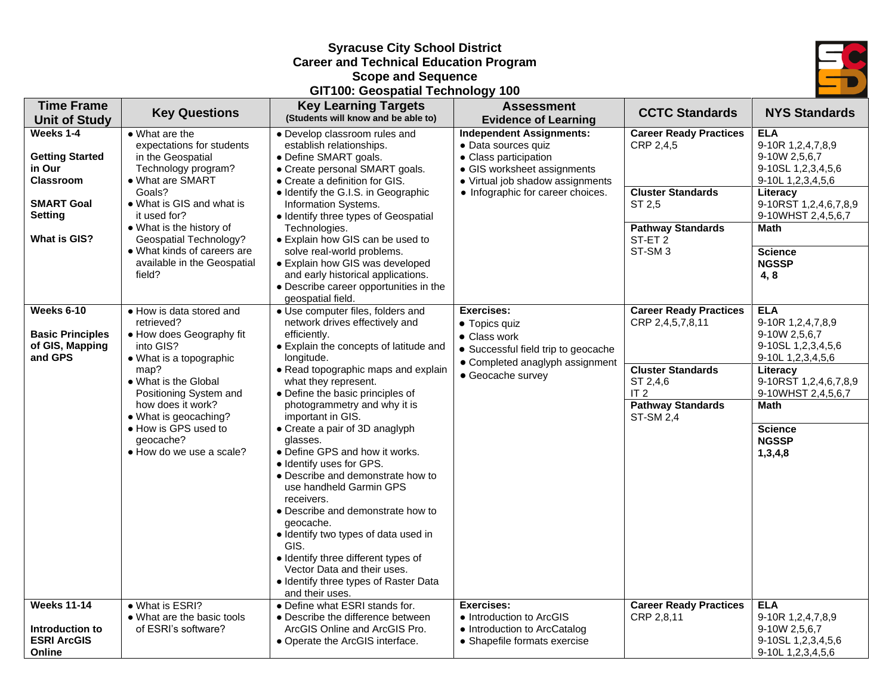#### **Syracuse City School District Career and Technical Education Program Scope and Sequence**

#### **GIT100: Geospatial Technology 100**



| <b>Time Frame</b><br><b>Unit of Study</b>                                                                | <b>Key Questions</b>                                                                                                                                                                                                                                                                | <b>Key Learning Targets</b><br>(Students will know and be able to)                                                                                                                                                                                                                                                                                                                                                                                                                                                                                                                                                                                                                                                                | <b>Assessment</b><br><b>Evidence of Learning</b>                                                                                                                                        | <b>CCTC Standards</b>                                                                                                                                        | <b>NYS Standards</b>                                                                                                                                                                                        |
|----------------------------------------------------------------------------------------------------------|-------------------------------------------------------------------------------------------------------------------------------------------------------------------------------------------------------------------------------------------------------------------------------------|-----------------------------------------------------------------------------------------------------------------------------------------------------------------------------------------------------------------------------------------------------------------------------------------------------------------------------------------------------------------------------------------------------------------------------------------------------------------------------------------------------------------------------------------------------------------------------------------------------------------------------------------------------------------------------------------------------------------------------------|-----------------------------------------------------------------------------------------------------------------------------------------------------------------------------------------|--------------------------------------------------------------------------------------------------------------------------------------------------------------|-------------------------------------------------------------------------------------------------------------------------------------------------------------------------------------------------------------|
| Weeks 1-4<br><b>Getting Started</b><br>in Our<br><b>Classroom</b><br><b>SMART Goal</b><br><b>Setting</b> | $\bullet$ What are the<br>expectations for students<br>in the Geospatial<br>Technology program?<br>• What are SMART<br>Goals?<br>• What is GIS and what is<br>it used for?<br>• What is the history of                                                                              | • Develop classroom rules and<br>establish relationships.<br>• Define SMART goals.<br>• Create personal SMART goals.<br>• Create a definition for GIS.<br>· Identify the G.I.S. in Geographic<br>Information Systems.<br>· Identify three types of Geospatial<br>Technologies.                                                                                                                                                                                                                                                                                                                                                                                                                                                    | <b>Independent Assignments:</b><br>• Data sources quiz<br>• Class participation<br>• GIS worksheet assignments<br>• Virtual job shadow assignments<br>• Infographic for career choices. | <b>Career Ready Practices</b><br>CRP 2,4,5<br><b>Cluster Standards</b><br>ST 2,5<br><b>Pathway Standards</b>                                                 | <b>ELA</b><br>9-10R 1,2,4,7,8,9<br>9-10W 2,5,6,7<br>9-10SL 1,2,3,4,5,6<br>9-10L 1,2,3,4,5,6<br>Literacy<br>9-10RST 1,2,4,6,7,8,9<br>9-10WHST 2,4,5,6,7<br><b>Math</b>                                       |
| <b>What is GIS?</b>                                                                                      | <b>Geospatial Technology?</b><br>• What kinds of careers are<br>available in the Geospatial<br>field?                                                                                                                                                                               | • Explain how GIS can be used to<br>solve real-world problems.<br>• Explain how GIS was developed<br>and early historical applications.<br>• Describe career opportunities in the<br>geospatial field.                                                                                                                                                                                                                                                                                                                                                                                                                                                                                                                            |                                                                                                                                                                                         | ST-ET <sub>2</sub><br>ST-SM <sub>3</sub>                                                                                                                     | <b>Science</b><br><b>NGSSP</b><br>4,8                                                                                                                                                                       |
| Weeks 6-10<br><b>Basic Principles</b><br>of GIS, Mapping<br>and GPS                                      | • How is data stored and<br>retrieved?<br>• How does Geography fit<br>into GIS?<br>• What is a topographic<br>map?<br>• What is the Global<br>Positioning System and<br>how does it work?<br>• What is geocaching?<br>• How is GPS used to<br>geocache?<br>• How do we use a scale? | · Use computer files, folders and<br>network drives effectively and<br>efficiently.<br>• Explain the concepts of latitude and<br>longitude.<br>• Read topographic maps and explain<br>what they represent.<br>• Define the basic principles of<br>photogrammetry and why it is<br>important in GIS.<br>• Create a pair of 3D anaglyph<br>glasses.<br>• Define GPS and how it works.<br>• Identify uses for GPS.<br>• Describe and demonstrate how to<br>use handheld Garmin GPS<br>receivers.<br>• Describe and demonstrate how to<br>geocache.<br>· Identify two types of data used in<br>GIS.<br>· Identify three different types of<br>Vector Data and their uses.<br>• Identify three types of Raster Data<br>and their uses. | <b>Exercises:</b><br>• Topics quiz<br>• Class work<br>• Successful field trip to geocache<br>• Completed anaglyph assignment<br>• Geocache survey                                       | <b>Career Ready Practices</b><br>CRP 2,4,5,7,8,11<br><b>Cluster Standards</b><br>ST 2,4,6<br>IT <sub>2</sub><br><b>Pathway Standards</b><br><b>ST-SM 2,4</b> | <b>ELA</b><br>9-10R 1,2,4,7,8,9<br>9-10W 2,5,6,7<br>9-10SL 1,2,3,4,5,6<br>9-10L 1,2,3,4,5,6<br>Literacy<br>9-10RST 1,2,4,6,7,8,9<br>9-10WHST 2,4,5,6,7<br>Math<br><b>Science</b><br><b>NGSSP</b><br>1,3,4,8 |
| <b>Weeks 11-14</b><br>Introduction to<br><b>ESRI ArcGIS</b><br>Online                                    | • What is ESRI?<br>• What are the basic tools<br>of ESRI's software?                                                                                                                                                                                                                | • Define what ESRI stands for.<br>• Describe the difference between<br>ArcGIS Online and ArcGIS Pro.<br>• Operate the ArcGIS interface.                                                                                                                                                                                                                                                                                                                                                                                                                                                                                                                                                                                           | <b>Exercises:</b><br>• Introduction to ArcGIS<br>• Introduction to ArcCatalog<br>• Shapefile formats exercise                                                                           | <b>Career Ready Practices</b><br>CRP 2,8,11                                                                                                                  | <b>ELA</b><br>9-10R 1,2,4,7,8,9<br>9-10W 2,5,6,7<br>9-10SL 1,2,3,4,5,6<br>9-10L 1,2,3,4,5,6                                                                                                                 |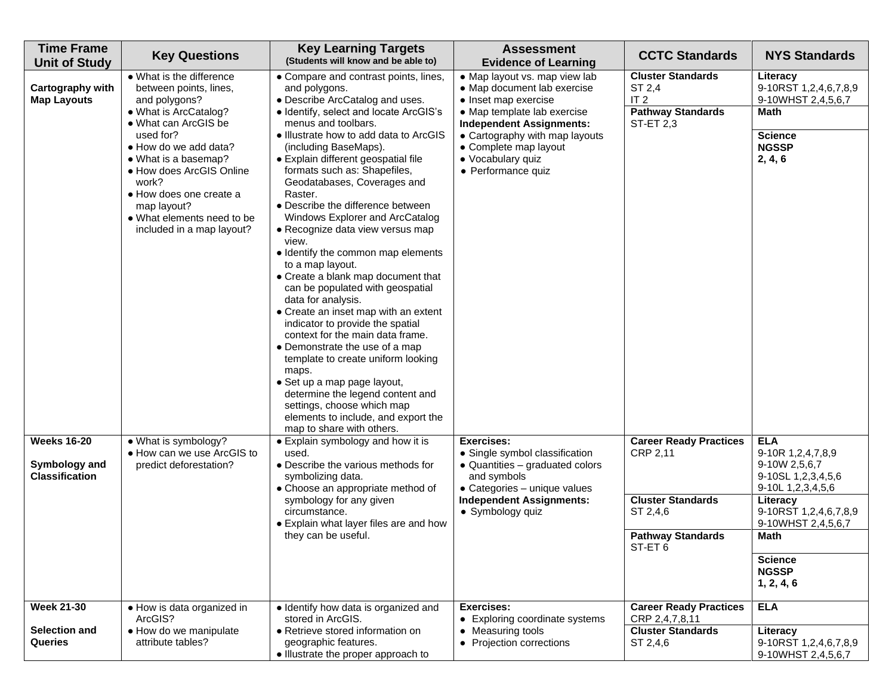| <b>Time Frame</b><br><b>Unit of Study</b>                    | <b>Key Questions</b>                                                                                                                                                                                                                                                                                                         | <b>Key Learning Targets</b><br>(Students will know and be able to)                                                                                                                                                                                                                                                                                                                                                                                                                                                                                                                                                                                                                                                                                                                                                                                                                                                                                                                                  | <b>Assessment</b><br><b>Evidence of Learning</b>                                                                                                                                                                                                             | <b>CCTC Standards</b>                                                                                                   | <b>NYS Standards</b>                                                                                                                                                                                           |
|--------------------------------------------------------------|------------------------------------------------------------------------------------------------------------------------------------------------------------------------------------------------------------------------------------------------------------------------------------------------------------------------------|-----------------------------------------------------------------------------------------------------------------------------------------------------------------------------------------------------------------------------------------------------------------------------------------------------------------------------------------------------------------------------------------------------------------------------------------------------------------------------------------------------------------------------------------------------------------------------------------------------------------------------------------------------------------------------------------------------------------------------------------------------------------------------------------------------------------------------------------------------------------------------------------------------------------------------------------------------------------------------------------------------|--------------------------------------------------------------------------------------------------------------------------------------------------------------------------------------------------------------------------------------------------------------|-------------------------------------------------------------------------------------------------------------------------|----------------------------------------------------------------------------------------------------------------------------------------------------------------------------------------------------------------|
| Cartography with<br><b>Map Layouts</b>                       | • What is the difference<br>between points, lines,<br>and polygons?<br>• What is ArcCatalog?<br>• What can ArcGIS be<br>used for?<br>• How do we add data?<br>• What is a basemap?<br>• How does ArcGIS Online<br>work?<br>• How does one create a<br>map layout?<br>• What elements need to be<br>included in a map layout? | • Compare and contrast points, lines,<br>and polygons.<br>• Describe ArcCatalog and uses.<br>• Identify, select and locate ArcGIS's<br>menus and toolbars.<br>• Illustrate how to add data to ArcGIS<br>(including BaseMaps).<br>• Explain different geospatial file<br>formats such as: Shapefiles,<br>Geodatabases, Coverages and<br>Raster.<br>• Describe the difference between<br>Windows Explorer and ArcCatalog<br>• Recognize data view versus map<br>view.<br>• Identify the common map elements<br>to a map layout.<br>• Create a blank map document that<br>can be populated with geospatial<br>data for analysis.<br>• Create an inset map with an extent<br>indicator to provide the spatial<br>context for the main data frame.<br>• Demonstrate the use of a map<br>template to create uniform looking<br>maps.<br>· Set up a map page layout,<br>determine the legend content and<br>settings, choose which map<br>elements to include, and export the<br>map to share with others. | • Map layout vs. map view lab<br>• Map document lab exercise<br>• Inset map exercise<br>• Map template lab exercise<br><b>Independent Assignments:</b><br>• Cartography with map layouts<br>• Complete map layout<br>· Vocabulary quiz<br>• Performance quiz | <b>Cluster Standards</b><br>ST 2,4<br>IT <sub>2</sub><br><b>Pathway Standards</b><br><b>ST-ET 2,3</b>                   | Literacy<br>9-10RST 1,2,4,6,7,8,9<br>9-10WHST 2,4,5,6,7<br><b>Math</b><br><b>Science</b><br><b>NGSSP</b><br>2, 4, 6                                                                                            |
| <b>Weeks 16-20</b><br>Symbology and<br><b>Classification</b> | • What is symbology?<br>• How can we use ArcGIS to<br>predict deforestation?                                                                                                                                                                                                                                                 | • Explain symbology and how it is<br>used.<br>• Describe the various methods for<br>symbolizing data.<br>• Choose an appropriate method of<br>symbology for any given<br>circumstance.<br>• Explain what layer files are and how<br>they can be useful.                                                                                                                                                                                                                                                                                                                                                                                                                                                                                                                                                                                                                                                                                                                                             | <b>Exercises:</b><br>• Single symbol classification<br>• Quantities - graduated colors<br>and symbols<br>• Categories - unique values<br><b>Independent Assignments:</b><br>• Symbology quiz                                                                 | <b>Career Ready Practices</b><br>CRP 2,11<br><b>Cluster Standards</b><br>ST 2,4,6<br><b>Pathway Standards</b><br>SI-EI6 | <b>ELA</b><br>9-10R 1,2,4,7,8,9<br>9-10W 2,5,6,7<br>9-10SL 1,2,3,4,5,6<br>9-10L 1,2,3,4,5,6<br>Literacy<br>9-10RST 1,2,4,6,7,8,9<br>9-10WHST 2,4,5,6,7<br>Math<br><b>Science</b><br><b>NGSSP</b><br>1, 2, 4, 6 |
| <b>Week 21-30</b><br>Selection and<br>Queries                | • How is data organized in<br>ArcGIS?<br>• How do we manipulate<br>attribute tables?                                                                                                                                                                                                                                         | · Identify how data is organized and<br>stored in ArcGIS.<br>• Retrieve stored information on<br>geographic features.<br>• Illustrate the proper approach to                                                                                                                                                                                                                                                                                                                                                                                                                                                                                                                                                                                                                                                                                                                                                                                                                                        | <b>Exercises:</b><br>• Exploring coordinate systems<br>• Measuring tools<br>• Projection corrections                                                                                                                                                         | <b>Career Ready Practices</b><br>CRP 2,4,7,8,11<br><b>Cluster Standards</b><br>ST 2,4,6                                 | <b>ELA</b><br>Literacy<br>9-10RST 1,2,4,6,7,8,9<br>9-10WHST 2,4,5,6,7                                                                                                                                          |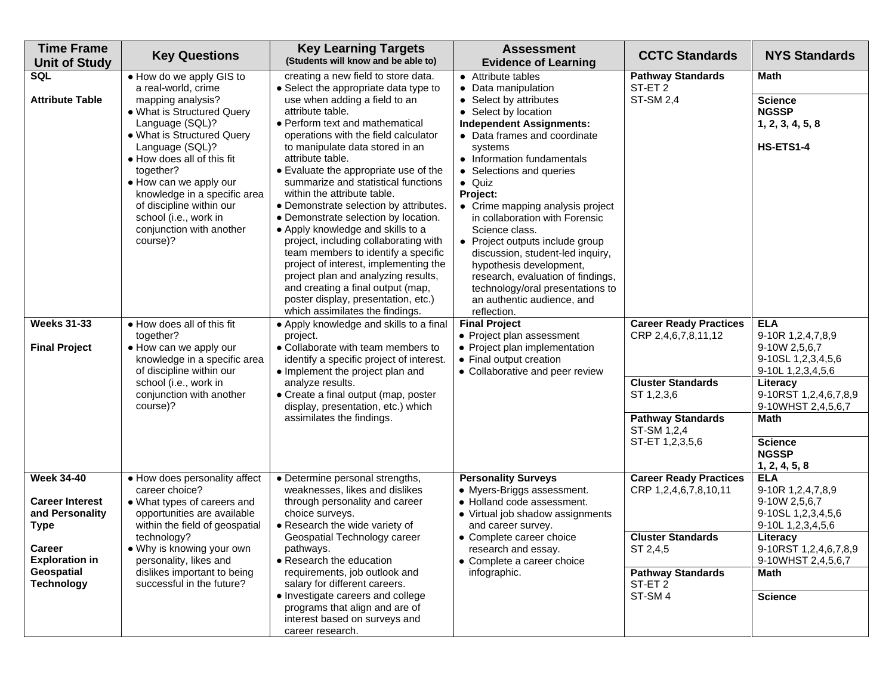| <b>Time Frame</b><br><b>Unit of Study</b>                                     | <b>Key Questions</b>                                                                                                                                                                                                                                                                                                                                                     | <b>Key Learning Targets</b><br>(Students will know and be able to)                                                                                                                                                                                                                                                                                                                                                                                                                                                                                                                                                                                                        | <b>Assessment</b><br><b>Evidence of Learning</b>                                                                                                                                                                                                                                                                                                                                                                                                                                                 | <b>CCTC Standards</b>                                                                                                                     | <b>NYS Standards</b>                                                                                                                                                  |
|-------------------------------------------------------------------------------|--------------------------------------------------------------------------------------------------------------------------------------------------------------------------------------------------------------------------------------------------------------------------------------------------------------------------------------------------------------------------|---------------------------------------------------------------------------------------------------------------------------------------------------------------------------------------------------------------------------------------------------------------------------------------------------------------------------------------------------------------------------------------------------------------------------------------------------------------------------------------------------------------------------------------------------------------------------------------------------------------------------------------------------------------------------|--------------------------------------------------------------------------------------------------------------------------------------------------------------------------------------------------------------------------------------------------------------------------------------------------------------------------------------------------------------------------------------------------------------------------------------------------------------------------------------------------|-------------------------------------------------------------------------------------------------------------------------------------------|-----------------------------------------------------------------------------------------------------------------------------------------------------------------------|
| <b>SQL</b><br><b>Attribute Table</b>                                          | • How do we apply GIS to<br>a real-world, crime<br>mapping analysis?<br>• What is Structured Query<br>Language (SQL)?<br>• What is Structured Query<br>Language (SQL)?<br>• How does all of this fit<br>together?<br>• How can we apply our<br>knowledge in a specific area<br>of discipline within our<br>school (i.e., work in<br>conjunction with another<br>course)? | creating a new field to store data.<br>• Select the appropriate data type to<br>use when adding a field to an<br>attribute table.<br>• Perform text and mathematical<br>operations with the field calculator<br>to manipulate data stored in an<br>attribute table.<br>• Evaluate the appropriate use of the<br>summarize and statistical functions<br>within the attribute table.<br>• Demonstrate selection by attributes.<br>• Demonstrate selection by location.<br>• Apply knowledge and skills to a<br>project, including collaborating with<br>team members to identify a specific<br>project of interest, implementing the<br>project plan and analyzing results, | • Attribute tables<br>• Data manipulation<br>• Select by attributes<br>• Select by location<br><b>Independent Assignments:</b><br>• Data frames and coordinate<br>systems<br>• Information fundamentals<br>• Selections and queries<br>$\bullet$ Quiz<br>Project:<br>• Crime mapping analysis project<br>in collaboration with Forensic<br>Science class.<br>• Project outputs include group<br>discussion, student-led inquiry,<br>hypothesis development,<br>research, evaluation of findings, | <b>Pathway Standards</b><br>ST-ET <sub>2</sub><br><b>ST-SM 2,4</b>                                                                        | <b>Math</b><br><b>Science</b><br><b>NGSSP</b><br>1, 2, 3, 4, 5, 8<br>HS-ETS1-4                                                                                        |
| <b>Weeks 31-33</b><br><b>Final Project</b>                                    | . How does all of this fit<br>together?<br>• How can we apply our<br>knowledge in a specific area<br>of discipline within our<br>school (i.e., work in<br>conjunction with another<br>course)?                                                                                                                                                                           | and creating a final output (map,<br>poster display, presentation, etc.)<br>which assimilates the findings.<br>• Apply knowledge and skills to a final<br>project.<br>• Collaborate with team members to<br>identify a specific project of interest.<br>• Implement the project plan and<br>analyze results.<br>• Create a final output (map, poster<br>display, presentation, etc.) which<br>assimilates the findings.                                                                                                                                                                                                                                                   | technology/oral presentations to<br>an authentic audience, and<br>reflection.<br><b>Final Project</b><br>• Project plan assessment<br>• Project plan implementation<br>• Final output creation<br>• Collaborative and peer review                                                                                                                                                                                                                                                                | <b>Career Ready Practices</b><br>CRP 2,4,6,7,8,11,12<br><b>Cluster Standards</b><br>ST 1,2,3,6<br><b>Pathway Standards</b><br>ST-SM 1,2,4 | <b>ELA</b><br>9-10R 1,2,4,7,8,9<br>9-10W 2,5,6,7<br>9-10SL 1,2,3,4,5,6<br>9-10L 1,2,3,4,5,6<br>Literacy<br>9-10RST 1,2,4,6,7,8,9<br>9-10WHST 2,4,5,6,7<br><b>Math</b> |
|                                                                               |                                                                                                                                                                                                                                                                                                                                                                          |                                                                                                                                                                                                                                                                                                                                                                                                                                                                                                                                                                                                                                                                           |                                                                                                                                                                                                                                                                                                                                                                                                                                                                                                  | ST-ET 1,2,3,5,6                                                                                                                           | <b>Science</b><br><b>NGSSP</b><br>1, 2, 4, 5, 8                                                                                                                       |
| <b>Week 34-40</b><br><b>Career Interest</b><br>and Personality<br><b>Type</b> | • How does personality affect<br>career choice?<br>• What types of careers and<br>opportunities are available<br>within the field of geospatial                                                                                                                                                                                                                          | • Determine personal strengths,<br>weaknesses, likes and dislikes<br>through personality and career<br>choice surveys.<br>• Research the wide variety of                                                                                                                                                                                                                                                                                                                                                                                                                                                                                                                  | <b>Personality Surveys</b><br>• Myers-Briggs assessment.<br>• Holland code assessment.<br>• Virtual job shadow assignments<br>and career survey.                                                                                                                                                                                                                                                                                                                                                 | <b>Career Ready Practices</b><br>CRP 1,2,4,6,7,8,10,11                                                                                    | <b>ELA</b><br>9-10R 1,2,4,7,8,9<br>9-10W 2,5,6,7<br>9-10SL 1,2,3,4,5,6<br>9-10L 1,2,3,4,5,6                                                                           |
| <b>Career</b><br><b>Exploration in</b><br>Geospatial<br><b>Technology</b>     | technology?<br>• Why is knowing your own<br>personality, likes and<br>dislikes important to being<br>successful in the future?                                                                                                                                                                                                                                           | Geospatial Technology career<br>pathways.<br>• Research the education<br>requirements, job outlook and<br>salary for different careers.<br>• Investigate careers and college<br>programs that align and are of                                                                                                                                                                                                                                                                                                                                                                                                                                                            | • Complete career choice<br>research and essay.<br>• Complete a career choice<br>infographic.                                                                                                                                                                                                                                                                                                                                                                                                    | <b>Cluster Standards</b><br>SI 2,4,5<br><b>Pathway Standards</b><br>ST-ET <sub>2</sub><br>ST-SM4                                          | Literacy<br>9-10RST 1,2,4,6,7,8,9<br>9-10WHST 2,4,5,6,7<br><b>Math</b><br><b>Science</b>                                                                              |
|                                                                               |                                                                                                                                                                                                                                                                                                                                                                          | interest based on surveys and<br>career research.                                                                                                                                                                                                                                                                                                                                                                                                                                                                                                                                                                                                                         |                                                                                                                                                                                                                                                                                                                                                                                                                                                                                                  |                                                                                                                                           |                                                                                                                                                                       |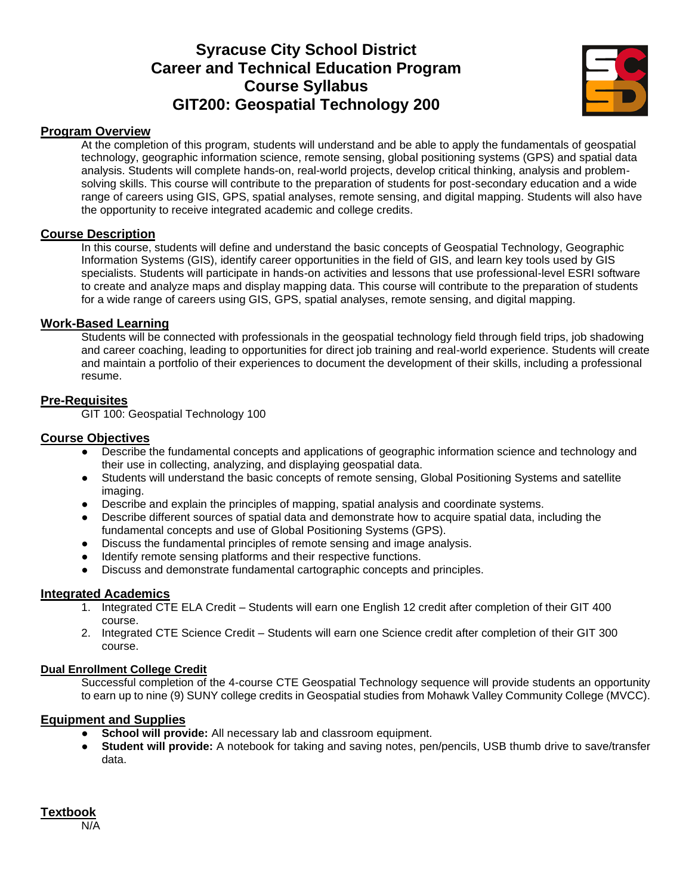## **Syracuse City School District Career and Technical Education Program Course Syllabus GIT200: Geospatial Technology 200**



#### **Program Overview**

At the completion of this program, students will understand and be able to apply the fundamentals of geospatial technology, geographic information science, remote sensing, global positioning systems (GPS) and spatial data analysis. Students will complete hands-on, real-world projects, develop critical thinking, analysis and problemsolving skills. This course will contribute to the preparation of students for post-secondary education and a wide range of careers using GIS, GPS, spatial analyses, remote sensing, and digital mapping. Students will also have the opportunity to receive integrated academic and college credits.

#### **Course Description**

In this course, students will define and understand the basic concepts of Geospatial Technology, Geographic Information Systems (GIS), identify career opportunities in the field of GIS, and learn key tools used by GIS specialists. Students will participate in hands-on activities and lessons that use professional-level ESRI software to create and analyze maps and display mapping data. This course will contribute to the preparation of students for a wide range of careers using GIS, GPS, spatial analyses, remote sensing, and digital mapping.

#### **Work-Based Learning**

Students will be connected with professionals in the geospatial technology field through field trips, job shadowing and career coaching, leading to opportunities for direct job training and real-world experience. Students will create and maintain a portfolio of their experiences to document the development of their skills, including a professional resume.

#### **Pre-Requisites**

GIT 100: Geospatial Technology 100

#### **Course Objectives**

- Describe the fundamental concepts and applications of geographic information science and technology and their use in collecting, analyzing, and displaying geospatial data.
- Students will understand the basic concepts of remote sensing, Global Positioning Systems and satellite imaging.
- Describe and explain the principles of mapping, spatial analysis and coordinate systems.
- Describe different sources of spatial data and demonstrate how to acquire spatial data, including the fundamental concepts and use of Global Positioning Systems (GPS).
- Discuss the fundamental principles of remote sensing and image analysis.
- Identify remote sensing platforms and their respective functions.
- Discuss and demonstrate fundamental cartographic concepts and principles.

#### **Integrated Academics**

- 1. Integrated CTE ELA Credit Students will earn one English 12 credit after completion of their GIT 400 course.
- 2. Integrated CTE Science Credit Students will earn one Science credit after completion of their GIT 300 course.

#### **Dual Enrollment College Credit**

Successful completion of the 4-course CTE Geospatial Technology sequence will provide students an opportunity to earn up to nine (9) SUNY college credits in Geospatial studies from Mohawk Valley Community College (MVCC).

#### **Equipment and Supplies**

- **School will provide:** All necessary lab and classroom equipment.
- **Student will provide:** A notebook for taking and saving notes, pen/pencils, USB thumb drive to save/transfer data.

#### **Textbook**

N/A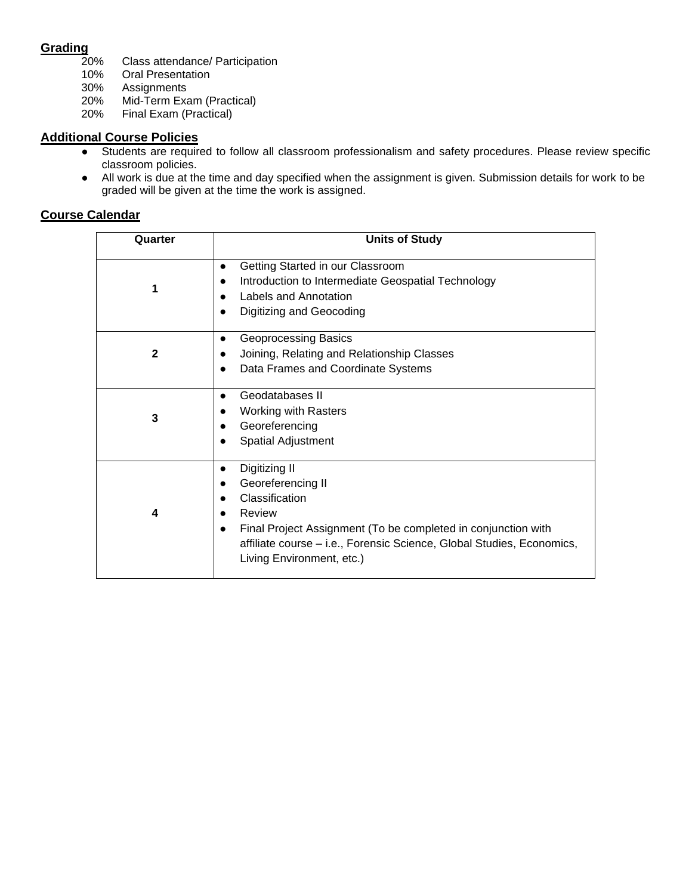#### **Grading**

- 20% Class attendance/ Participation
- 10% Oral Presentation<br>30% Assignments
- 30% Assignments
- Mid-Term Exam (Practical)
- 20% Final Exam (Practical)

#### **Additional Course Policies**

- Students are required to follow all classroom professionalism and safety procedures. Please review specific classroom policies.
- All work is due at the time and day specified when the assignment is given. Submission details for work to be graded will be given at the time the work is assigned.

| Quarter      | <b>Units of Study</b>                                                                                                                                                                                                                              |
|--------------|----------------------------------------------------------------------------------------------------------------------------------------------------------------------------------------------------------------------------------------------------|
| 1            | Getting Started in our Classroom<br>Introduction to Intermediate Geospatial Technology<br>Labels and Annotation<br>Digitizing and Geocoding                                                                                                        |
| $\mathbf{2}$ | Geoprocessing Basics<br>Joining, Relating and Relationship Classes<br>Data Frames and Coordinate Systems                                                                                                                                           |
| 3            | Geodatabases II<br>$\bullet$<br><b>Working with Rasters</b><br>Georeferencing<br>Spatial Adjustment                                                                                                                                                |
| 4            | Digitizing II<br>Georeferencing II<br>$\bullet$<br>Classification<br>Review<br>Final Project Assignment (To be completed in conjunction with<br>affiliate course - i.e., Forensic Science, Global Studies, Economics,<br>Living Environment, etc.) |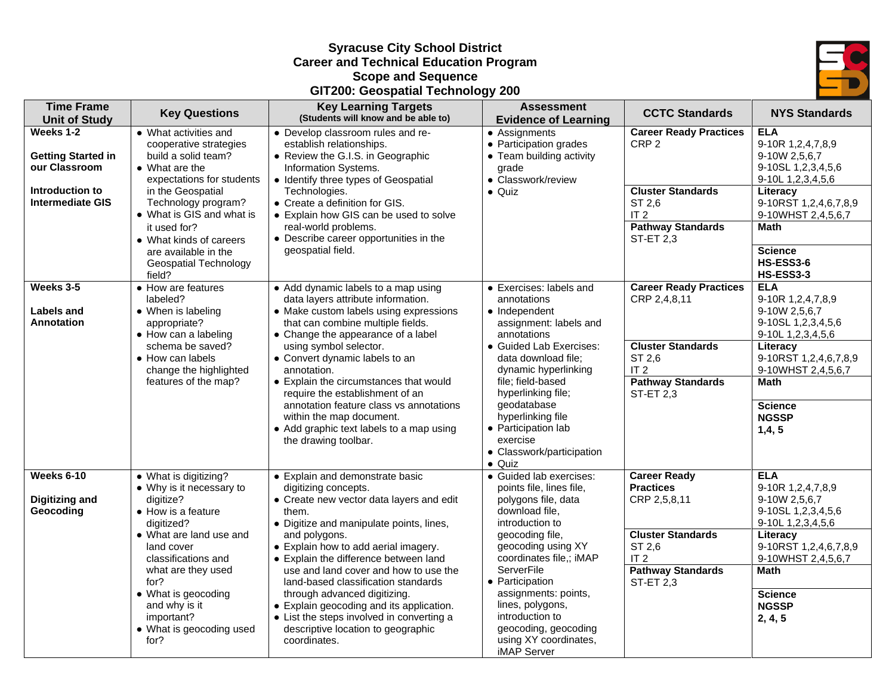#### **Syracuse City School District Career and Technical Education Program Scope and Sequence GIT200: Geospatial Technology 200**



| <b>Time Frame</b><br><b>Unit of Study</b>                                                             | <b>Key Questions</b>                                                                                                                                                                                           | <b>Key Learning Targets</b><br>(Students will know and be able to)                                                                                                                                                                                                                                   | <b>Assessment</b><br><b>Evidence of Learning</b>                                                                                                                                               | <b>CCTC Standards</b>                                                                                                                  | <b>NYS Standards</b>                                                                                                                                           |
|-------------------------------------------------------------------------------------------------------|----------------------------------------------------------------------------------------------------------------------------------------------------------------------------------------------------------------|------------------------------------------------------------------------------------------------------------------------------------------------------------------------------------------------------------------------------------------------------------------------------------------------------|------------------------------------------------------------------------------------------------------------------------------------------------------------------------------------------------|----------------------------------------------------------------------------------------------------------------------------------------|----------------------------------------------------------------------------------------------------------------------------------------------------------------|
| Weeks 1-2<br><b>Getting Started in</b><br>our Classroom<br>Introduction to<br><b>Intermediate GIS</b> | • What activities and<br>cooperative strategies<br>build a solid team?<br>• What are the<br>expectations for students<br>in the Geospatial<br>Technology program?<br>• What is GIS and what is<br>it used for? | • Develop classroom rules and re-<br>establish relationships.<br>• Review the G.I.S. in Geographic<br>Information Systems.<br>• Identify three types of Geospatial<br>Technologies.<br>• Create a definition for GIS.<br>• Explain how GIS can be used to solve<br>real-world problems.              | • Assignments<br>• Participation grades<br>• Team building activity<br>grade<br>• Classwork/review<br>$\bullet$ Quiz                                                                           | <b>Career Ready Practices</b><br>CRP <sub>2</sub><br><b>Cluster Standards</b><br>ST 2,6<br>IT <sub>2</sub><br><b>Pathway Standards</b> | <b>ELA</b><br>9-10R 1,2,4,7,8,9<br>9-10W 2,5,6,7<br>9-10SL 1,2,3,4,5,6<br>9-10L 1,2,3,4,5,6<br>Literacy<br>9-10RST 1,2,4,6,7,8,9<br>9-10WHST 2,4,5,6,7<br>Math |
|                                                                                                       | • What kinds of careers<br>are available in the<br>Geospatial Technology<br>field?                                                                                                                             | • Describe career opportunities in the<br>geospatial field.                                                                                                                                                                                                                                          |                                                                                                                                                                                                | ST-ET 2,3                                                                                                                              | <b>Science</b><br>HS-ESS3-6<br><b>HS-ESS3-3</b>                                                                                                                |
| Weeks 3-5<br><b>Labels and</b><br>Annotation                                                          | • How are features<br>labeled?<br>• When is labeling<br>appropriate?<br>• How can a labeling                                                                                                                   | • Add dynamic labels to a map using<br>data layers attribute information.<br>• Make custom labels using expressions<br>that can combine multiple fields.<br>• Change the appearance of a label                                                                                                       | • Exercises: labels and<br>annotations<br>• Independent<br>assignment: labels and<br>annotations                                                                                               | <b>Career Ready Practices</b><br>CRP 2,4,8,11                                                                                          | <b>ELA</b><br>9-10R 1,2,4,7,8,9<br>9-10W 2,5,6,7<br>9-10SL 1,2,3,4,5,6<br>9-10L 1,2,3,4,5,6                                                                    |
|                                                                                                       | schema be saved?<br>• How can labels<br>change the highlighted                                                                                                                                                 | using symbol selector.<br>• Convert dynamic labels to an<br>annotation.                                                                                                                                                                                                                              | · Guided Lab Exercises:<br>data download file;<br>dynamic hyperlinking                                                                                                                         | <b>Cluster Standards</b><br>ST 2,6<br>IT <sub>2</sub>                                                                                  | Literacy<br>9-10RST 1,2,4,6,7,8,9<br>9-10WHST 2,4,5,6,7                                                                                                        |
|                                                                                                       | features of the map?                                                                                                                                                                                           | • Explain the circumstances that would<br>require the establishment of an<br>annotation feature class vs annotations<br>within the map document.<br>• Add graphic text labels to a map using<br>the drawing toolbar.                                                                                 | file; field-based<br>hyperlinking file;<br>geodatabase<br>hyperlinking file<br>• Participation lab<br>exercise<br>• Classwork/participation<br>$\bullet$ Quiz                                  | <b>Pathway Standards</b><br><b>ST-ET 2,3</b>                                                                                           | Math<br><b>Science</b><br><b>NGSSP</b><br>1,4,5                                                                                                                |
| Weeks 6-10<br><b>Digitizing and</b><br>Geocoding                                                      | • What is digitizing?<br>• Why is it necessary to<br>digitize?<br>• How is a feature<br>digitized?<br>• What are land use and<br>land cover                                                                    | • Explain and demonstrate basic<br>digitizing concepts.<br>• Create new vector data layers and edit<br>them.<br>• Digitize and manipulate points, lines,<br>and polygons.<br>• Explain how to add aerial imagery.                                                                                    | · Guided lab exercises:<br>points file, lines file,<br>polygons file, data<br>download file,<br>introduction to<br>geocoding file,<br>geocoding using XY                                       | <b>Career Ready</b><br><b>Practices</b><br>CRP 2,5,8,11<br><b>Cluster Standards</b><br>ST 2,6                                          | <b>ELA</b><br>9-10R 1,2,4,7,8,9<br>9-10W 2,5,6,7<br>9-10SL 1,2,3,4,5,6<br>9-10L 1, 2, 3, 4, 5, 6<br>Literacy<br>9-10RST 1,2,4,6,7,8,9                          |
|                                                                                                       | classifications and<br>what are they used<br>for?<br>• What is geocoding<br>and why is it<br>important?<br>• What is geocoding used<br>for?                                                                    | • Explain the difference between land<br>use and land cover and how to use the<br>land-based classification standards<br>through advanced digitizing.<br>• Explain geocoding and its application.<br>• List the steps involved in converting a<br>descriptive location to geographic<br>coordinates. | coordinates file,; iMAP<br><b>ServerFile</b><br>• Participation<br>assignments: points,<br>lines, polygons,<br>introduction to<br>geocoding, geocoding<br>using XY coordinates,<br>iMAP Server | IT <sub>2</sub><br><b>Pathway Standards</b><br><b>ST-ET 2,3</b>                                                                        | 9-10WHST 2,4,5,6,7<br><b>Math</b><br><b>Science</b><br><b>NGSSP</b><br>2, 4, 5                                                                                 |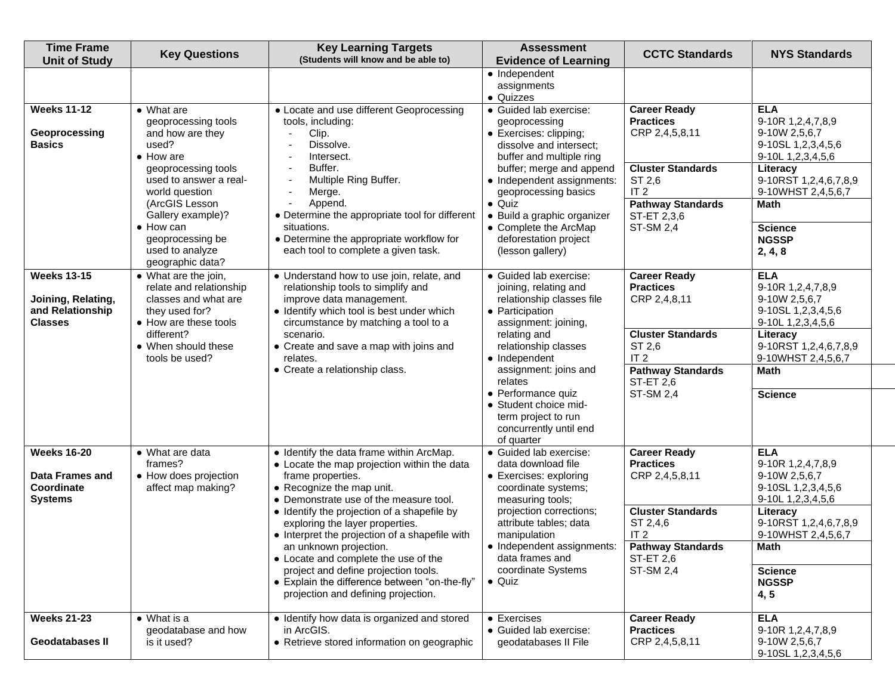| <b>Time Frame</b><br><b>Unit of Study</b>                                      | <b>Key Questions</b>                                                                                                                                                           | <b>Key Learning Targets</b><br>(Students will know and be able to)                                                                                                                                                                                                                                                                                                                                                                                                                                                        | <b>Assessment</b><br><b>Evidence of Learning</b>                                                                                                                                                                                                                                                                                   | <b>CCTC Standards</b>                                                                                                                                                                | <b>NYS Standards</b>                                                                                                                                                                                            |
|--------------------------------------------------------------------------------|--------------------------------------------------------------------------------------------------------------------------------------------------------------------------------|---------------------------------------------------------------------------------------------------------------------------------------------------------------------------------------------------------------------------------------------------------------------------------------------------------------------------------------------------------------------------------------------------------------------------------------------------------------------------------------------------------------------------|------------------------------------------------------------------------------------------------------------------------------------------------------------------------------------------------------------------------------------------------------------------------------------------------------------------------------------|--------------------------------------------------------------------------------------------------------------------------------------------------------------------------------------|-----------------------------------------------------------------------------------------------------------------------------------------------------------------------------------------------------------------|
| <b>Weeks 11-12</b><br>Geoprocessing<br><b>Basics</b>                           | $\overline{\bullet}$ What are<br>geoprocessing tools<br>and how are they<br>used?<br>$\bullet$ How are                                                                         | • Locate and use different Geoprocessing<br>tools, including:<br>Clip.<br>Dissolve.<br>Intersect.                                                                                                                                                                                                                                                                                                                                                                                                                         | • Independent<br>assignments<br>• Quizzes<br>• Guided lab exercise:<br>geoprocessing<br>• Exercises: clipping;<br>dissolve and intersect:<br>buffer and multiple ring                                                                                                                                                              | <b>Career Ready</b><br><b>Practices</b><br>CRP 2,4,5,8,11                                                                                                                            | <b>ELA</b><br>9-10R 1,2,4,7,8,9<br>9-10W 2,5,6,7<br>9-10SL 1,2,3,4,5,6<br>9-10L 1,2,3,4,5,6                                                                                                                     |
|                                                                                | geoprocessing tools<br>used to answer a real-<br>world question<br>(ArcGIS Lesson<br>Gallery example)?<br>• How can<br>geoprocessing be<br>used to analyze<br>geographic data? | Buffer.<br>Multiple Ring Buffer.<br>Merge.<br>Append.<br>• Determine the appropriate tool for different<br>situations.<br>• Determine the appropriate workflow for<br>each tool to complete a given task.                                                                                                                                                                                                                                                                                                                 | buffer; merge and append<br>• Independent assignments:<br>geoprocessing basics<br>$\bullet$ Quiz<br>· Build a graphic organizer<br>• Complete the ArcMap<br>deforestation project<br>(lesson gallery)                                                                                                                              | <b>Cluster Standards</b><br>ST 2,6<br>IT <sub>2</sub><br><b>Pathway Standards</b><br>ST-ET 2,3,6<br><b>ST-SM 2,4</b>                                                                 | Literacy<br>9-10RST 1,2,4,6,7,8,9<br>9-10WHST 2,4,5,6,7<br><b>Math</b><br><b>Science</b><br><b>NGSSP</b><br>2, 4, 8                                                                                             |
| <b>Weeks 13-15</b><br>Joining, Relating,<br>and Relationship<br><b>Classes</b> | • What are the join,<br>relate and relationship<br>classes and what are<br>they used for?<br>• How are these tools<br>different?<br>• When should these<br>tools be used?      | • Understand how to use join, relate, and<br>relationship tools to simplify and<br>improve data management.<br>• Identify which tool is best under which<br>circumstance by matching a tool to a<br>scenario.<br>• Create and save a map with joins and<br>relates.<br>• Create a relationship class.                                                                                                                                                                                                                     | • Guided lab exercise:<br>joining, relating and<br>relationship classes file<br>• Participation<br>assignment: joining,<br>relating and<br>relationship classes<br>• Independent<br>assignment: joins and<br>relates<br>• Performance quiz<br>• Student choice mid-<br>term project to run<br>concurrently until end<br>of quarter | <b>Career Ready</b><br><b>Practices</b><br>CRP 2,4,8,11<br><b>Cluster Standards</b><br>ST 2,6<br>IT <sub>2</sub><br><b>Pathway Standards</b><br><b>ST-ET 2,6</b><br><b>ST-SM 2,4</b> | <b>ELA</b><br>9-10R 1,2,4,7,8,9<br>9-10W 2,5,6,7<br>9-10SL 1,2,3,4,5,6<br>9-10L 1,2,3,4,5,6<br>Literacy<br>9-10RST 1,2,4,6,7,8,9<br>9-10WHST 2,4,5,6,7<br><b>Math</b><br><b>Science</b>                         |
| <b>Weeks 16-20</b><br><b>Data Frames and</b><br>Coordinate<br><b>Systems</b>   | • What are data<br>frames?<br>• How does projection<br>affect map making?                                                                                                      | • Identify the data frame within ArcMap.<br>• Locate the map projection within the data<br>frame properties.<br>• Recognize the map unit.<br>• Demonstrate use of the measure tool.<br>• Identify the projection of a shapefile by<br>exploring the layer properties.<br>• Interpret the projection of a shapefile with<br>an unknown projection.<br>• Locate and complete the use of the<br>project and define projection tools.<br>• Explain the difference between "on-the-fly"<br>projection and defining projection. | • Guided lab exercise:<br>data download file<br>• Exercises: exploring<br>coordinate systems;<br>measuring tools;<br>projection corrections;<br>attribute tables; data<br>manipulation<br>• Independent assignments:<br>data frames and<br>coordinate Systems<br>$\bullet$ Quiz                                                    | <b>Career Ready</b><br><b>Practices</b><br>CRP 2,4,5,8,11<br><b>Cluster Standards</b><br>ST 2,4,6<br>IT <sub>2</sub><br><b>Pathway Standards</b><br>ST-ET 2,6<br><b>ST-SM 2,4</b>    | <b>ELA</b><br>9-10R 1,2,4,7,8,9<br>9-10W 2,5,6,7<br>9-10SL 1,2,3,4,5,6<br>9-10L 1,2,3,4,5,6<br>Literacy<br>9-10RST 1,2,4,6,7,8,9<br>9-10WHST 2,4,5,6,7<br><b>Math</b><br><b>Science</b><br><b>NGSSP</b><br>4, 5 |
| <b>Weeks 21-23</b><br>Geodatabases II                                          | $\bullet$ What is a<br>geodatabase and how<br>is it used?                                                                                                                      | • Identify how data is organized and stored<br>in ArcGIS.<br>• Retrieve stored information on geographic                                                                                                                                                                                                                                                                                                                                                                                                                  | $\bullet$ Exercises<br>• Guided lab exercise:<br>geodatabases II File                                                                                                                                                                                                                                                              | <b>Career Ready</b><br><b>Practices</b><br>CRP 2,4,5,8,11                                                                                                                            | <b>ELA</b><br>9-10R 1,2,4,7,8,9<br>9-10W 2,5,6,7<br>9-10SL 1,2,3,4,5,6                                                                                                                                          |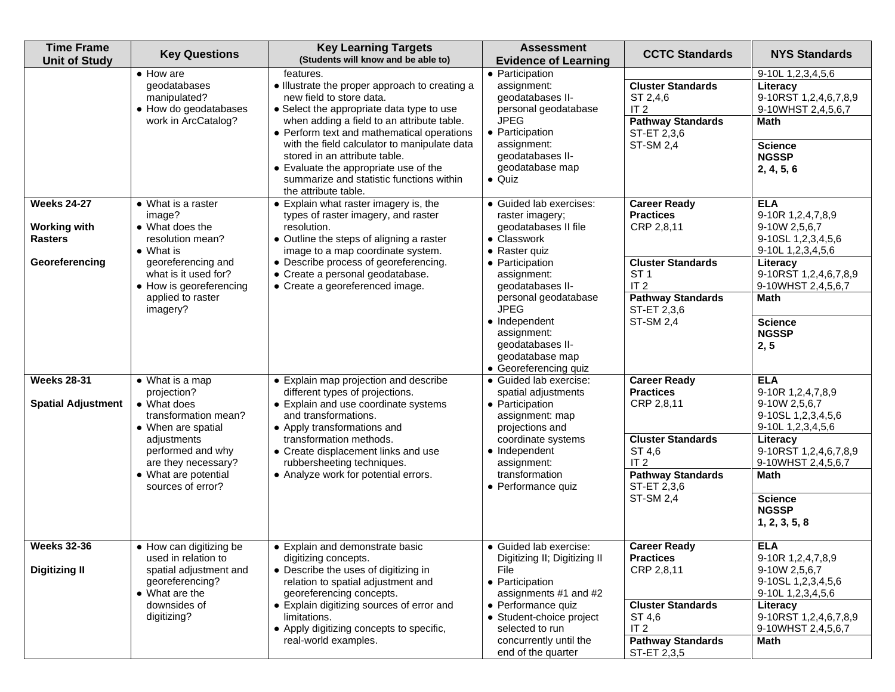| <b>Time Frame</b><br><b>Unit of Study</b>                                     | <b>Key Questions</b>                                                                                                                                                                                                  | <b>Key Learning Targets</b><br>(Students will know and be able to)                                                                                                                                                                                                                                                                                                                                     | <b>Assessment</b><br><b>Evidence of Learning</b>                                                                                                                                                                                                                                                        | <b>CCTC Standards</b>                                                                                                                                                                  | <b>NYS Standards</b>                                                                                                                                                                                                     |
|-------------------------------------------------------------------------------|-----------------------------------------------------------------------------------------------------------------------------------------------------------------------------------------------------------------------|--------------------------------------------------------------------------------------------------------------------------------------------------------------------------------------------------------------------------------------------------------------------------------------------------------------------------------------------------------------------------------------------------------|---------------------------------------------------------------------------------------------------------------------------------------------------------------------------------------------------------------------------------------------------------------------------------------------------------|----------------------------------------------------------------------------------------------------------------------------------------------------------------------------------------|--------------------------------------------------------------------------------------------------------------------------------------------------------------------------------------------------------------------------|
|                                                                               | $\bullet$ How are<br>geodatabases<br>manipulated?<br>• How do geodatabases<br>work in ArcCatalog?                                                                                                                     | features.<br>• Illustrate the proper approach to creating a<br>new field to store data.<br>• Select the appropriate data type to use<br>when adding a field to an attribute table.<br>• Perform text and mathematical operations<br>with the field calculator to manipulate data<br>stored in an attribute table.<br>• Evaluate the appropriate use of the<br>summarize and statistic functions within | • Participation<br>assignment:<br>geodatabases II-<br>personal geodatabase<br><b>JPEG</b><br>• Participation<br>assignment:<br>geodatabases II-<br>geodatabase map<br>$\bullet$ Quiz                                                                                                                    | <b>Cluster Standards</b><br>ST 2,4,6<br>IT <sub>2</sub><br><b>Pathway Standards</b><br>ST-ET 2,3,6<br><b>ST-SM 2,4</b>                                                                 | 9-10L 1,2,3,4,5,6<br>Literacy<br>9-10RST 1,2,4,6,7,8,9<br>9-10WHST 2,4,5,6,7<br>Math<br><b>Science</b><br><b>NGSSP</b><br>2, 4, 5, 6                                                                                     |
| <b>Weeks 24-27</b><br><b>Working with</b><br><b>Rasters</b><br>Georeferencing | $\overline{\bullet}$ What is a raster<br>image?<br>• What does the<br>resolution mean?<br>$\bullet$ What is<br>georeferencing and<br>what is it used for?<br>• How is georeferencing<br>applied to raster<br>imagery? | the attribute table.<br>• Explain what raster imagery is, the<br>types of raster imagery, and raster<br>resolution.<br>• Outline the steps of aligning a raster<br>image to a map coordinate system.<br>• Describe process of georeferencing.<br>• Create a personal geodatabase.<br>• Create a georeferenced image.                                                                                   | · Guided lab exercises:<br>raster imagery;<br>geodatabases II file<br>• Classwork<br>$\bullet$ Raster quiz<br>• Participation<br>assignment:<br>geodatabases II-<br>personal geodatabase<br><b>JPEG</b><br>• Independent<br>assignment:<br>geodatabases II-<br>geodatabase map<br>• Georeferencing quiz | <b>Career Ready</b><br><b>Practices</b><br>CRP 2,8,11<br><b>Cluster Standards</b><br>ST <sub>1</sub><br>IT <sub>2</sub><br><b>Pathway Standards</b><br>ST-ET 2,3,6<br><b>ST-SM 2,4</b> | <b>ELA</b><br>9-10R 1,2,4,7,8,9<br>9-10W 2,5,6,7<br>9-10SL 1,2,3,4,5,6<br>9-10L 1,2,3,4,5,6<br>Literacy<br>9-10RST 1,2,4,6,7,8,9<br>9-10WHST 2,4,5,6,7<br><b>Math</b><br><b>Science</b><br><b>NGSSP</b><br>2, 5          |
| <b>Weeks 28-31</b><br><b>Spatial Adjustment</b>                               | • What is a map<br>projection?<br>• What does<br>transformation mean?<br>• When are spatial<br>adjustments<br>performed and why<br>are they necessary?<br>• What are potential<br>sources of error?                   | • Explain map projection and describe<br>different types of projections.<br>• Explain and use coordinate systems<br>and transformations.<br>• Apply transformations and<br>transformation methods.<br>• Create displacement links and use<br>rubbersheeting techniques.<br>• Analyze work for potential errors.                                                                                        | · Guided lab exercise:<br>spatial adjustments<br>• Participation<br>assignment: map<br>projections and<br>coordinate systems<br>• Independent<br>assignment:<br>transformation<br>• Performance quiz                                                                                                    | <b>Career Ready</b><br><b>Practices</b><br>CRP 2,8,11<br><b>Cluster Standards</b><br>ST 4,6<br>IT <sub>2</sub><br><b>Pathway Standards</b><br>ST-ET 2,3,6<br><b>ST-SM 2,4</b>          | <b>ELA</b><br>9-10R 1,2,4,7,8,9<br>9-10W 2,5,6,7<br>9-10SL 1,2,3,4,5,6<br>9-10L 1,2,3,4,5,6<br>Literacy<br>9-10RST 1,2,4,6,7,8,9<br>9-10WHST 2,4,5,6,7<br><b>Math</b><br><b>Science</b><br><b>NGSSP</b><br>1, 2, 3, 5, 8 |
| <b>Weeks 32-36</b><br><b>Digitizing II</b>                                    | • How can digitizing be<br>used in relation to<br>spatial adjustment and<br>georeferencing?<br>• What are the<br>downsides of<br>digitizing?                                                                          | • Explain and demonstrate basic<br>digitizing concepts.<br>• Describe the uses of digitizing in<br>relation to spatial adjustment and<br>georeferencing concepts.<br>• Explain digitizing sources of error and<br>limitations.<br>• Apply digitizing concepts to specific,<br>real-world examples.                                                                                                     | · Guided lab exercise:<br>Digitizing II; Digitizing II<br>File<br>• Participation<br>assignments #1 and #2<br>• Performance quiz<br>• Student-choice project<br>selected to run<br>concurrently until the<br>end of the quarter                                                                         | <b>Career Ready</b><br><b>Practices</b><br>CRP 2,8,11<br><b>Cluster Standards</b><br>ST 4,6<br>IT <sub>2</sub><br><b>Pathway Standards</b><br>ST-ET 2,3,5                              | <b>ELA</b><br>9-10R 1,2,4,7,8,9<br>9-10W 2,5,6,7<br>9-10SL 1,2,3,4,5,6<br>9-10L 1,2,3,4,5,6<br>Literacy<br>9-10RST 1,2,4,6,7,8,9<br>9-10WHST 2,4,5,6,7<br>Math                                                           |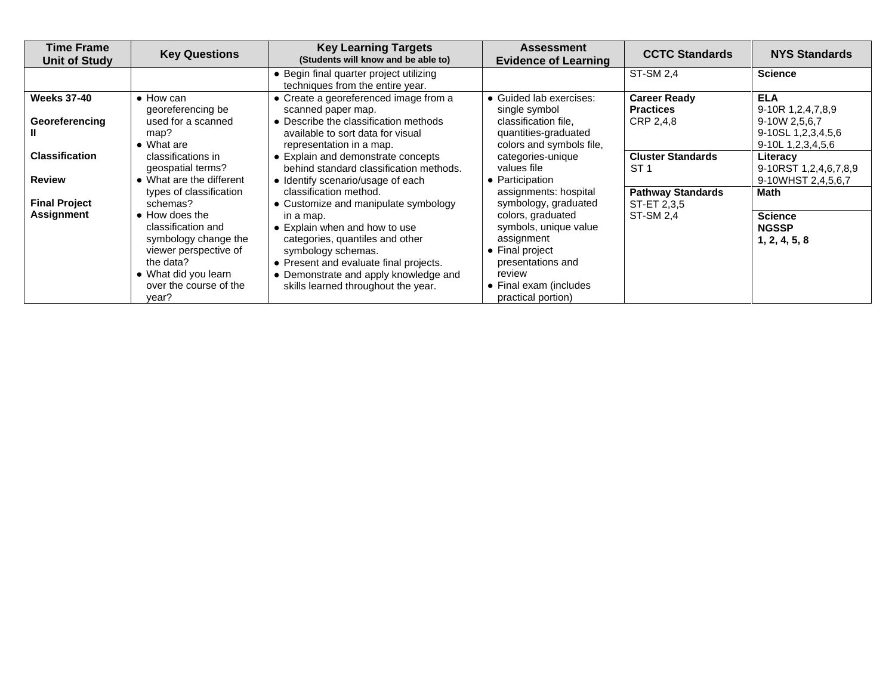| <b>Time Frame</b><br><b>Unit of Study</b> | <b>Key Questions</b>                                                                                                                                                                                 | <b>Key Learning Targets</b><br>(Students will know and be able to)                                                                                                                                                                                                                              | <b>Assessment</b><br><b>Evidence of Learning</b>                                                                                                                                                            | <b>CCTC Standards</b>                                | <b>NYS Standards</b>                                                                                  |
|-------------------------------------------|------------------------------------------------------------------------------------------------------------------------------------------------------------------------------------------------------|-------------------------------------------------------------------------------------------------------------------------------------------------------------------------------------------------------------------------------------------------------------------------------------------------|-------------------------------------------------------------------------------------------------------------------------------------------------------------------------------------------------------------|------------------------------------------------------|-------------------------------------------------------------------------------------------------------|
|                                           |                                                                                                                                                                                                      | • Begin final quarter project utilizing<br>techniques from the entire year.                                                                                                                                                                                                                     |                                                                                                                                                                                                             | <b>ST-SM 2,4</b>                                     | <b>Science</b>                                                                                        |
| <b>Weeks 37-40</b><br>Georeferencing      | $\bullet$ How can<br>georeferencing be<br>used for a scanned<br>map?<br>$\bullet$ What are                                                                                                           | • Create a georeferenced image from a<br>scanned paper map.<br>• Describe the classification methods<br>available to sort data for visual<br>representation in a map.                                                                                                                           | • Guided lab exercises:<br>single symbol<br>classification file.<br>quantities-graduated<br>colors and symbols file,                                                                                        | <b>Career Ready</b><br><b>Practices</b><br>CRP 2,4,8 | <b>ELA</b><br>9-10R 1, 2, 4, 7, 8, 9<br>9-10W 2,5,6,7<br>9-10SL 1,2,3,4,5,6<br>9-10L 1, 2, 3, 4, 5, 6 |
| <b>Classification</b><br><b>Review</b>    | classifications in<br>geospatial terms?<br>• What are the different                                                                                                                                  | • Explain and demonstrate concepts<br>behind standard classification methods.<br>• Identify scenario/usage of each                                                                                                                                                                              | categories-unique<br>values file<br>• Participation                                                                                                                                                         | <b>Cluster Standards</b><br>ST <sub>1</sub>          | Literacy<br>9-10RST 1,2,4,6,7,8,9<br>9-10WHST 2,4,5,6,7                                               |
| <b>Final Project</b><br><b>Assignment</b> | types of classification<br>schemas?<br>• How does the<br>classification and<br>symbology change the<br>viewer perspective of<br>the data?<br>• What did you learn<br>over the course of the<br>year? | classification method.<br>• Customize and manipulate symbology<br>in a map.<br>• Explain when and how to use<br>categories, quantiles and other<br>symbology schemas.<br>• Present and evaluate final projects.<br>• Demonstrate and apply knowledge and<br>skills learned throughout the year. | assignments: hospital<br>symbology, graduated<br>colors, graduated<br>symbols, unique value<br>assignment<br>• Final project<br>presentations and<br>review<br>• Final exam (includes<br>practical portion) | <b>Pathway Standards</b><br>ST-ET 2,3,5<br>ST-SM 2,4 | Math<br><b>Science</b><br><b>NGSSP</b><br>1, 2, 4, 5, 8                                               |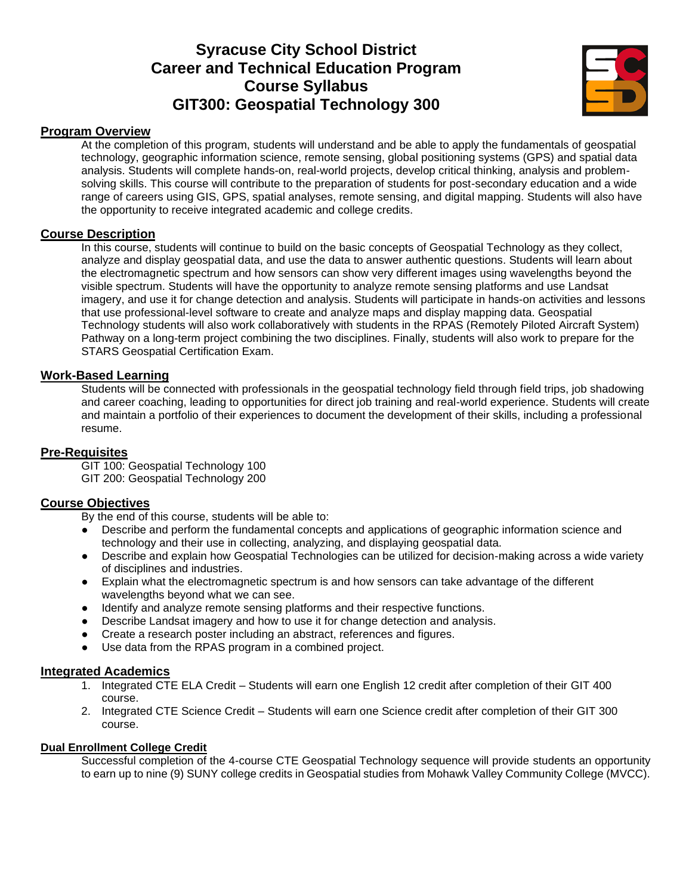## **Syracuse City School District Career and Technical Education Program Course Syllabus GIT300: Geospatial Technology 300**



#### **Program Overview**

At the completion of this program, students will understand and be able to apply the fundamentals of geospatial technology, geographic information science, remote sensing, global positioning systems (GPS) and spatial data analysis. Students will complete hands-on, real-world projects, develop critical thinking, analysis and problemsolving skills. This course will contribute to the preparation of students for post-secondary education and a wide range of careers using GIS, GPS, spatial analyses, remote sensing, and digital mapping. Students will also have the opportunity to receive integrated academic and college credits.

#### **Course Description**

In this course, students will continue to build on the basic concepts of Geospatial Technology as they collect, analyze and display geospatial data, and use the data to answer authentic questions. Students will learn about the electromagnetic spectrum and how sensors can show very different images using wavelengths beyond the visible spectrum. Students will have the opportunity to analyze remote sensing platforms and use Landsat imagery, and use it for change detection and analysis. Students will participate in hands-on activities and lessons that use professional-level software to create and analyze maps and display mapping data. Geospatial Technology students will also work collaboratively with students in the RPAS (Remotely Piloted Aircraft System) Pathway on a long-term project combining the two disciplines. Finally, students will also work to prepare for the STARS Geospatial Certification Exam.

#### **Work-Based Learning**

Students will be connected with professionals in the geospatial technology field through field trips, job shadowing and career coaching, leading to opportunities for direct job training and real-world experience. Students will create and maintain a portfolio of their experiences to document the development of their skills, including a professional resume.

#### **Pre-Requisites**

GIT 100: Geospatial Technology 100 GIT 200: Geospatial Technology 200

#### **Course Objectives**

By the end of this course, students will be able to:

- Describe and perform the fundamental concepts and applications of geographic information science and technology and their use in collecting, analyzing, and displaying geospatial data.
- Describe and explain how Geospatial Technologies can be utilized for decision-making across a wide variety of disciplines and industries.
- Explain what the electromagnetic spectrum is and how sensors can take advantage of the different wavelengths beyond what we can see.
- Identify and analyze remote sensing platforms and their respective functions.
- Describe Landsat imagery and how to use it for change detection and analysis.
- Create a research poster including an abstract, references and figures.
- Use data from the RPAS program in a combined project.

#### **Integrated Academics**

- 1. Integrated CTE ELA Credit Students will earn one English 12 credit after completion of their GIT 400 course.
- 2. Integrated CTE Science Credit Students will earn one Science credit after completion of their GIT 300 course.

#### **Dual Enrollment College Credit**

Successful completion of the 4-course CTE Geospatial Technology sequence will provide students an opportunity to earn up to nine (9) SUNY college credits in Geospatial studies from Mohawk Valley Community College (MVCC).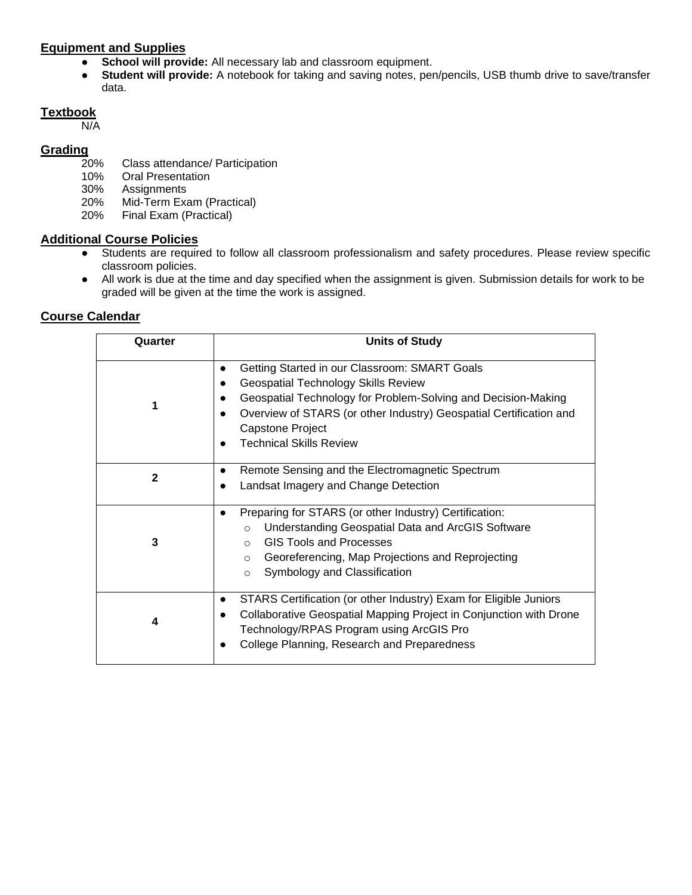#### **Equipment and Supplies**

- **School will provide:** All necessary lab and classroom equipment.
- **Student will provide:** A notebook for taking and saving notes, pen/pencils, USB thumb drive to save/transfer data.

### **Textbook**

N/A

# Grading<sub>20%</sub>

- Class attendance/ Participation
- 10% Oral Presentation
- 30% Assignments
- 20% Mid-Term Exam (Practical)
- 20% Final Exam (Practical)

#### **Additional Course Policies**

- Students are required to follow all classroom professionalism and safety procedures. Please review specific classroom policies.
- All work is due at the time and day specified when the assignment is given. Submission details for work to be graded will be given at the time the work is assigned.

| Quarter      | <b>Units of Study</b>                                                                                                                                                                                                                                                                    |
|--------------|------------------------------------------------------------------------------------------------------------------------------------------------------------------------------------------------------------------------------------------------------------------------------------------|
|              | Getting Started in our Classroom: SMART Goals<br><b>Geospatial Technology Skills Review</b><br>Geospatial Technology for Problem-Solving and Decision-Making<br>Overview of STARS (or other Industry) Geospatial Certification and<br>Capstone Project<br><b>Technical Skills Review</b> |
| $\mathbf{2}$ | Remote Sensing and the Electromagnetic Spectrum<br>Landsat Imagery and Change Detection                                                                                                                                                                                                  |
| 3            | Preparing for STARS (or other Industry) Certification:<br>Understanding Geospatial Data and ArcGIS Software<br>$\circ$<br><b>GIS Tools and Processes</b><br>$\bigcirc$<br>Georeferencing, Map Projections and Reprojecting<br>$\circ$<br>Symbology and Classification<br>$\Omega$        |
| 4            | STARS Certification (or other Industry) Exam for Eligible Juniors<br>$\bullet$<br>Collaborative Geospatial Mapping Project in Conjunction with Drone<br>Technology/RPAS Program using ArcGIS Pro<br>College Planning, Research and Preparedness                                          |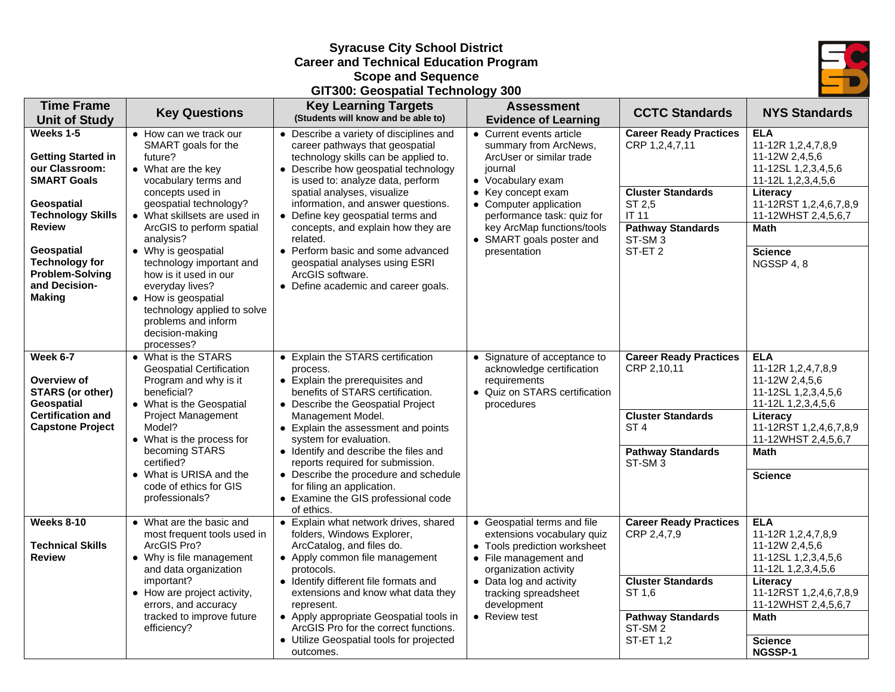#### **Syracuse City School District Career and Technical Education Program Scope and Sequence**





| <b>Time Frame</b>                                                                                                                                                                                                                                                    | <b>Key Questions</b>                                                                                                                                                                                                                                                                                                                                                                                                                        | <b>Key Learning Targets</b><br>(Students will know and be able to)                                                                                                                                                                                                                                                                                                                                                                                                                            | <b>Assessment</b>                                                                                                                                                                                                                                                                                    | <b>CCTC Standards</b>                                                                                                                                    | <b>NYS Standards</b>                                                                                                                                                                                     |
|----------------------------------------------------------------------------------------------------------------------------------------------------------------------------------------------------------------------------------------------------------------------|---------------------------------------------------------------------------------------------------------------------------------------------------------------------------------------------------------------------------------------------------------------------------------------------------------------------------------------------------------------------------------------------------------------------------------------------|-----------------------------------------------------------------------------------------------------------------------------------------------------------------------------------------------------------------------------------------------------------------------------------------------------------------------------------------------------------------------------------------------------------------------------------------------------------------------------------------------|------------------------------------------------------------------------------------------------------------------------------------------------------------------------------------------------------------------------------------------------------------------------------------------------------|----------------------------------------------------------------------------------------------------------------------------------------------------------|----------------------------------------------------------------------------------------------------------------------------------------------------------------------------------------------------------|
| <b>Unit of Study</b><br>Weeks 1-5<br><b>Getting Started in</b><br>our Classroom:<br><b>SMART Goals</b><br>Geospatial<br><b>Technology Skills</b><br><b>Review</b><br>Geospatial<br><b>Technology for</b><br><b>Problem-Solving</b><br>and Decision-<br><b>Making</b> | • How can we track our<br>SMART goals for the<br>future?<br>• What are the key<br>vocabulary terms and<br>concepts used in<br>geospatial technology?<br>• What skillsets are used in<br>ArcGIS to perform spatial<br>analysis?<br>• Why is geospatial<br>technology important and<br>how is it used in our<br>everyday lives?<br>• How is geospatial<br>technology applied to solve<br>problems and inform<br>decision-making<br>processes? | • Describe a variety of disciplines and<br>career pathways that geospatial<br>technology skills can be applied to.<br>• Describe how geospatial technology<br>is used to: analyze data, perform<br>spatial analyses, visualize<br>information, and answer questions.<br>• Define key geospatial terms and<br>concepts, and explain how they are<br>related.<br>• Perform basic and some advanced<br>geospatial analyses using ESRI<br>ArcGIS software.<br>• Define academic and career goals. | <b>Evidence of Learning</b><br>• Current events article<br>summary from ArcNews,<br>ArcUser or similar trade<br>journal<br>• Vocabulary exam<br>• Key concept exam<br>• Computer application<br>performance task: quiz for<br>key ArcMap functions/tools<br>• SMART goals poster and<br>presentation | <b>Career Ready Practices</b><br>CRP 1,2,4,7,11<br><b>Cluster Standards</b><br>ST 2,5<br>IT 11<br><b>Pathway Standards</b><br>ST-SM 3<br>ST-ET 2         | <b>ELA</b><br>11-12R 1,2,4,7,8,9<br>11-12W 2,4,5,6<br>11-12SL 1,2,3,4,5,6<br>11-12L 1,2,3,4,5,6<br>Literacy<br>11-12RST 1,2,4,6,7,8,9<br>11-12WHST 2,4,5,6,7<br>Math<br><b>Science</b><br>NGSSP 4, 8     |
| Week 6-7<br>Overview of<br><b>STARS (or other)</b><br><b>Geospatial</b><br><b>Certification and</b><br><b>Capstone Project</b>                                                                                                                                       | • What is the STARS<br><b>Geospatial Certification</b><br>Program and why is it<br>beneficial?<br>• What is the Geospatial<br><b>Project Management</b><br>Model?<br>• What is the process for<br>becoming STARS<br>certified?<br>• What is URISA and the<br>code of ethics for GIS<br>professionals?                                                                                                                                       | • Explain the STARS certification<br>process.<br>• Explain the prerequisites and<br>benefits of STARS certification.<br>• Describe the Geospatial Project<br>Management Model.<br>• Explain the assessment and points<br>system for evaluation.<br>• Identify and describe the files and<br>reports required for submission.<br>• Describe the procedure and schedule<br>for filing an application.<br>• Examine the GIS professional code<br>of ethics.                                      | • Signature of acceptance to<br>acknowledge certification<br>requirements<br>• Quiz on STARS certification<br>procedures                                                                                                                                                                             | <b>Career Ready Practices</b><br>CRP 2,10,11<br><b>Cluster Standards</b><br>ST <sub>4</sub><br><b>Pathway Standards</b><br>ST-SM <sub>3</sub>            | <b>ELA</b><br>11-12R 1,2,4,7,8,9<br>11-12W 2,4,5,6<br>11-12SL 1,2,3,4,5,6<br>11-12L 1,2,3,4,5,6<br>Literacy<br>11-12RST 1,2,4,6,7,8,9<br>11-12WHST 2,4,5,6,7<br><b>Math</b><br><b>Science</b>            |
| Weeks 8-10<br><b>Technical Skills</b><br><b>Review</b>                                                                                                                                                                                                               | • What are the basic and<br>most frequent tools used in<br>ArcGIS Pro?<br>• Why is file management<br>and data organization<br>important?<br>• How are project activity,<br>errors, and accuracy<br>tracked to improve future<br>efficiency?                                                                                                                                                                                                | • Explain what network drives, shared<br>folders, Windows Explorer,<br>ArcCatalog, and files do.<br>• Apply common file management<br>protocols.<br>• Identify different file formats and<br>extensions and know what data they<br>represent.<br>• Apply appropriate Geospatial tools in<br>ArcGIS Pro for the correct functions.<br>• Utilize Geospatial tools for projected<br>outcomes.                                                                                                    | • Geospatial terms and file<br>extensions vocabulary quiz<br>• Tools prediction worksheet<br>• File management and<br>organization activity<br>• Data log and activity<br>tracking spreadsheet<br>development<br>• Review test                                                                       | <b>Career Ready Practices</b><br>CRP 2,4,7,9<br><b>Cluster Standards</b><br>ST 1.6<br><b>Pathway Standards</b><br>ST-SM <sub>2</sub><br><b>ST-ET 1,2</b> | <b>ELA</b><br>11-12R 1,2,4,7,8,9<br>11-12W 2,4,5,6<br>11-12SL 1,2,3,4,5,6<br>11-12L 1,2,3,4,5,6<br>Literacy<br>11-12RST 1,2,4,6,7,8,9<br>11-12WHST 2,4,5,6,7<br><b>Math</b><br><b>Science</b><br>NGSSP-1 |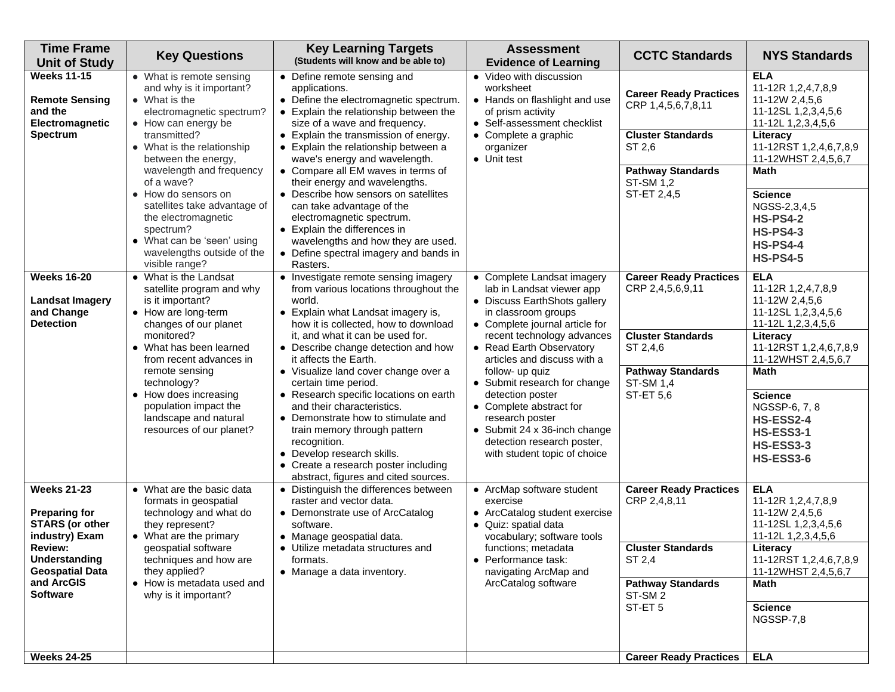| <b>Time Frame</b><br><b>Unit of Study</b>                                              | <b>Key Questions</b>                                                                                                                           | <b>Key Learning Targets</b><br>(Students will know and be able to)                                                                                                                                                                                                       | <b>Assessment</b><br><b>Evidence of Learning</b>                                                                                                                                             | <b>CCTC Standards</b>                                            | <b>NYS Standards</b>                                                                                            |
|----------------------------------------------------------------------------------------|------------------------------------------------------------------------------------------------------------------------------------------------|--------------------------------------------------------------------------------------------------------------------------------------------------------------------------------------------------------------------------------------------------------------------------|----------------------------------------------------------------------------------------------------------------------------------------------------------------------------------------------|------------------------------------------------------------------|-----------------------------------------------------------------------------------------------------------------|
| <b>Weeks 11-15</b><br><b>Remote Sensing</b><br>and the<br>Electromagnetic              | • What is remote sensing<br>and why is it important?<br>• What is the<br>electromagnetic spectrum?<br>• How can energy be                      | • Define remote sensing and<br>applications.<br>• Define the electromagnetic spectrum.<br>• Explain the relationship between the<br>size of a wave and frequency.                                                                                                        | • Video with discussion<br>worksheet<br>• Hands on flashlight and use<br>of prism activity<br>• Self-assessment checklist                                                                    | <b>Career Ready Practices</b><br>CRP 1,4,5,6,7,8,11              | <b>ELA</b><br>11-12R 1,2,4,7,8,9<br>11-12W 2,4,5,6<br>11-12SL 1,2,3,4,5,6<br>11-12L 1,2,3,4,5,6                 |
| <b>Spectrum</b>                                                                        | transmitted?<br>• What is the relationship<br>between the energy,                                                                              | • Explain the transmission of energy.<br>• Explain the relationship between a<br>wave's energy and wavelength.                                                                                                                                                           | • Complete a graphic<br>organizer<br>• Unit test                                                                                                                                             | <b>Cluster Standards</b><br>ST 2,6                               | Literacy<br>11-12RST 1,2,4,6,7,8,9<br>11-12WHST 2,4,5,6,7                                                       |
|                                                                                        | wavelength and frequency<br>of a wave?<br>• How do sensors on                                                                                  | • Compare all EM waves in terms of<br>their energy and wavelengths.<br>• Describe how sensors on satellites                                                                                                                                                              |                                                                                                                                                                                              | <b>Pathway Standards</b><br>ST-SM 1,2<br>ST-ET 2,4,5             | <b>Math</b><br><b>Science</b>                                                                                   |
|                                                                                        | satellites take advantage of<br>the electromagnetic<br>spectrum?<br>• What can be 'seen' using<br>wavelengths outside of the<br>visible range? | can take advantage of the<br>electromagnetic spectrum.<br>• Explain the differences in<br>wavelengths and how they are used.<br>• Define spectral imagery and bands in<br>Rasters.                                                                                       |                                                                                                                                                                                              |                                                                  | NGSS-2,3,4,5<br><b>HS-PS4-2</b><br><b>HS-PS4-3</b><br><b>HS-PS4-4</b><br><b>HS-PS4-5</b>                        |
| <b>Weeks 16-20</b><br><b>Landsat Imagery</b><br>and Change<br><b>Detection</b>         | • What is the Landsat<br>satellite program and why<br>is it important?<br>• How are long-term<br>changes of our planet                         | • Investigate remote sensing imagery<br>from various locations throughout the<br>world.<br>• Explain what Landsat imagery is,<br>how it is collected, how to download                                                                                                    | • Complete Landsat imagery<br>lab in Landsat viewer app<br>• Discuss EarthShots gallery<br>in classroom groups<br>• Complete journal article for                                             | <b>Career Ready Practices</b><br>CRP 2,4,5,6,9,11                | <b>ELA</b><br>11-12R 1,2,4,7,8,9<br>11-12W 2,4,5,6<br>11-12SL 1,2,3,4,5,6<br>11-12L 1,2,3,4,5,6                 |
|                                                                                        | monitored?<br>• What has been learned<br>from recent advances in<br>remote sensing<br>technology?                                              | it, and what it can be used for.<br>• Describe change detection and how<br>it affects the Earth.<br>• Visualize land cover change over a<br>certain time period.                                                                                                         | recent technology advances<br>• Read Earth Observatory<br>articles and discuss with a<br>follow- up quiz                                                                                     | <b>Cluster Standards</b><br>ST 2,4,6<br><b>Pathway Standards</b> | Literacy<br>11-12RST 1,2,4,6,7,8,9<br>11-12WHST 2,4,5,6,7<br><b>Math</b>                                        |
|                                                                                        | • How does increasing<br>population impact the<br>landscape and natural<br>resources of our planet?                                            | • Research specific locations on earth<br>and their characteristics.<br>• Demonstrate how to stimulate and<br>train memory through pattern<br>recognition.<br>• Develop research skills.<br>• Create a research poster including<br>abstract, figures and cited sources. | • Submit research for change<br>detection poster<br>• Complete abstract for<br>research poster<br>• Submit 24 x 36-inch change<br>detection research poster,<br>with student topic of choice | <b>ST-SM 1,4</b><br><b>ST-ET 5,6</b>                             | <b>Science</b><br>NGSSP-6, 7, 8<br><b>HS-ESS2-4</b><br><b>HS-ESS3-1</b><br><b>HS-ESS3-3</b><br><b>HS-ESS3-6</b> |
| <b>Weeks 21-23</b><br><b>Preparing for</b><br><b>STARS</b> (or other<br>industry) Exam | • What are the basic data<br>formats in geospatial<br>technology and what do<br>they represent?<br>• What are the primary                      | • Distinguish the differences between<br>raster and vector data.<br>• Demonstrate use of ArcCatalog<br>software.<br>• Manage geospatial data.                                                                                                                            | • ArcMap software student<br>exercise<br>• ArcCatalog student exercise<br>· Quiz: spatial data<br>vocabulary; software tools                                                                 | <b>Career Ready Practices</b><br>CRP 2,4,8,11                    | <b>ELA</b><br>11-12R 1,2,4,7,8,9<br>11-12W 2,4,5,6<br>11-12SL 1,2,3,4,5,6<br>11-12L 1,2,3,4,5,6                 |
| <b>Review:</b><br><b>Understanding</b><br><b>Geospatial Data</b>                       | geospatial software<br>techniques and how are<br>they applied?                                                                                 | • Utilize metadata structures and<br>formats.<br>• Manage a data inventory.                                                                                                                                                                                              | functions; metadata<br>• Performance task:<br>navigating ArcMap and                                                                                                                          | <b>Cluster Standards</b><br>ST 2,4                               | Literacy<br>11-12RST 1,2,4,6,7,8,9<br>11-12WHST 2,4,5,6,7                                                       |
| and ArcGIS<br><b>Software</b>                                                          | • How is metadata used and<br>why is it important?                                                                                             |                                                                                                                                                                                                                                                                          | ArcCatalog software                                                                                                                                                                          | <b>Pathway Standards</b><br>ST-SM <sub>2</sub>                   | <b>Math</b>                                                                                                     |
|                                                                                        |                                                                                                                                                |                                                                                                                                                                                                                                                                          |                                                                                                                                                                                              | ST-ET <sub>5</sub>                                               | <b>Science</b><br>NGSSP-7,8                                                                                     |
| <b>Weeks 24-25</b>                                                                     |                                                                                                                                                |                                                                                                                                                                                                                                                                          |                                                                                                                                                                                              | <b>Career Ready Practices</b>                                    | <b>ELA</b>                                                                                                      |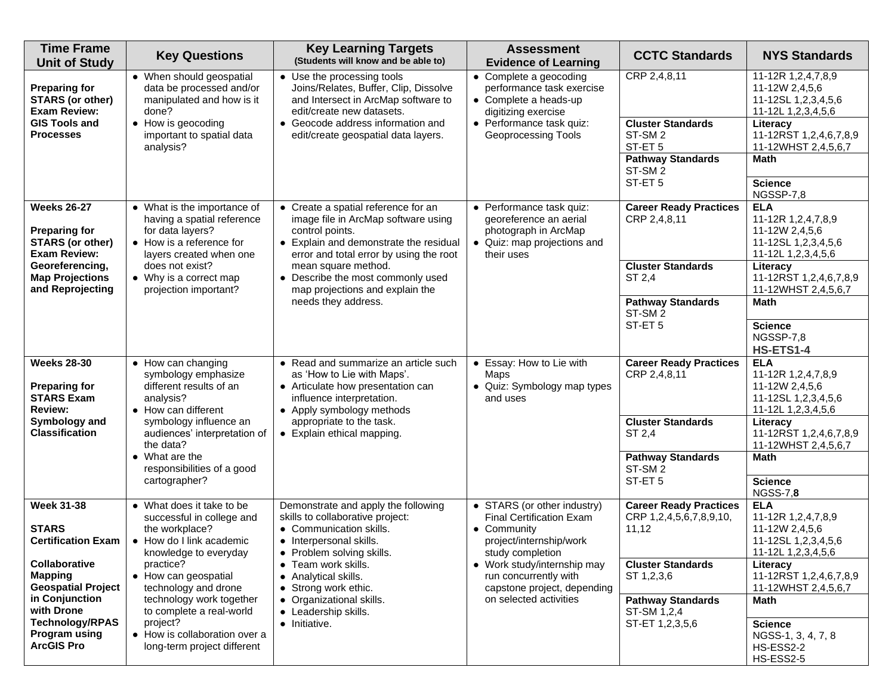| <b>Time Frame</b><br><b>Unit of Study</b>                                                                                                                                                                                             | <b>Key Questions</b>                                                                                                                                                                                                                                                                                                           | <b>Key Learning Targets</b><br>(Students will know and be able to)                                                                                                                                                                                                                                       | <b>Assessment</b><br><b>Evidence of Learning</b>                                                                                                                                                                                              | <b>CCTC Standards</b>                                                                                                                                                     | <b>NYS Standards</b>                                                                                                                                                                                                                   |
|---------------------------------------------------------------------------------------------------------------------------------------------------------------------------------------------------------------------------------------|--------------------------------------------------------------------------------------------------------------------------------------------------------------------------------------------------------------------------------------------------------------------------------------------------------------------------------|----------------------------------------------------------------------------------------------------------------------------------------------------------------------------------------------------------------------------------------------------------------------------------------------------------|-----------------------------------------------------------------------------------------------------------------------------------------------------------------------------------------------------------------------------------------------|---------------------------------------------------------------------------------------------------------------------------------------------------------------------------|----------------------------------------------------------------------------------------------------------------------------------------------------------------------------------------------------------------------------------------|
| <b>Preparing for</b><br><b>STARS (or other)</b><br><b>Exam Review:</b><br><b>GIS Tools and</b><br><b>Processes</b>                                                                                                                    | • When should geospatial<br>data be processed and/or<br>manipulated and how is it<br>done?<br>• How is geocoding<br>important to spatial data<br>analysis?                                                                                                                                                                     | • Use the processing tools<br>Joins/Relates, Buffer, Clip, Dissolve<br>and Intersect in ArcMap software to<br>edit/create new datasets.<br>• Geocode address information and<br>edit/create geospatial data layers.                                                                                      | • Complete a geocoding<br>performance task exercise<br>• Complete a heads-up<br>digitizing exercise<br>• Performance task quiz:<br>Geoprocessing Tools                                                                                        | CRP 2,4,8,11<br><b>Cluster Standards</b><br>ST-SM <sub>2</sub><br>ST-ET <sub>5</sub><br><b>Pathway Standards</b><br>ST-SM <sub>2</sub><br>ST-ET <sub>5</sub>              | 11-12R 1,2,4,7,8,9<br>11-12W 2,4,5,6<br>11-12SL 1,2,3,4,5,6<br>11-12L 1,2,3,4,5,6<br>Literacy<br>11-12RST 1,2,4,6,7,8,9<br>11-12WHST 2,4,5,6,7<br>Math<br><b>Science</b><br>NGSSP-7,8                                                  |
| <b>Weeks 26-27</b><br><b>Preparing for</b><br><b>STARS (or other)</b><br><b>Exam Review:</b><br>Georeferencing,<br><b>Map Projections</b><br>and Reprojecting                                                                         | • What is the importance of<br>having a spatial reference<br>for data layers?<br>• How is a reference for<br>layers created when one<br>does not exist?<br>• Why is a correct map<br>projection important?                                                                                                                     | • Create a spatial reference for an<br>image file in ArcMap software using<br>control points.<br>• Explain and demonstrate the residual<br>error and total error by using the root<br>mean square method.<br>• Describe the most commonly used<br>map projections and explain the<br>needs they address. | • Performance task quiz:<br>georeference an aerial<br>photograph in ArcMap<br>• Quiz: map projections and<br>their uses                                                                                                                       | <b>Career Ready Practices</b><br>CRP 2,4,8,11<br><b>Cluster Standards</b><br>ST 2,4<br><b>Pathway Standards</b><br>ST-SM <sub>2</sub><br>ST-ET <sub>5</sub>               | <b>ELA</b><br>11-12R 1,2,4,7,8,9<br>11-12W 2,4,5,6<br>11-12SL 1,2,3,4,5,6<br>11-12L 1,2,3,4,5,6<br>Literacy<br>11-12RST 1,2,4,6,7,8,9<br>11-12WHST 2,4,5,6,7<br><b>Math</b><br><b>Science</b><br>NGSSP-7,8                             |
| <b>Weeks 28-30</b><br><b>Preparing for</b><br><b>STARS Exam</b><br><b>Review:</b><br>Symbology and<br><b>Classification</b>                                                                                                           | • How can changing<br>symbology emphasize<br>different results of an<br>analysis?<br>• How can different<br>symbology influence an<br>audiences' interpretation of<br>the data?<br>$\bullet$ What are the<br>responsibilities of a good<br>cartographer?                                                                       | • Read and summarize an article such<br>as 'How to Lie with Maps'.<br>• Articulate how presentation can<br>influence interpretation.<br>• Apply symbology methods<br>appropriate to the task.<br>• Explain ethical mapping.                                                                              | • Essay: How to Lie with<br>Maps<br>• Quiz: Symbology map types<br>and uses                                                                                                                                                                   | <b>Career Ready Practices</b><br>CRP 2,4,8,11<br><b>Cluster Standards</b><br>ST 2,4<br><b>Pathway Standards</b><br>ST-SM <sub>2</sub><br>ST-ET <sub>5</sub>               | <b>HS-ETS1-4</b><br><b>ELA</b><br>11-12R 1,2,4,7,8,9<br>11-12W 2,4,5,6<br>11-12SL 1,2,3,4,5,6<br>11-12L 1,2,3,4,5,6<br>Literacy<br>11-12RST 1,2,4,6,7,8,9<br>11-12WHST 2,4,5,6,7<br><b>Math</b><br><b>Science</b><br><b>NGSS-7,8</b>   |
| <b>Week 31-38</b><br><b>STARS</b><br><b>Certification Exam</b><br><b>Collaborative</b><br><b>Mapping</b><br><b>Geospatial Project</b><br>in Conjunction<br>with Drone<br><b>Technology/RPAS</b><br>Program using<br><b>ArcGIS Pro</b> | • What does it take to be<br>successful in college and<br>the workplace?<br>• How do I link academic<br>knowledge to everyday<br>practice?<br>• How can geospatial<br>technology and drone<br>technology work together<br>to complete a real-world<br>project?<br>• How is collaboration over a<br>long-term project different | Demonstrate and apply the following<br>skills to collaborative project:<br>• Communication skills.<br>• Interpersonal skills.<br>• Problem solving skills.<br>• Team work skills.<br>• Analytical skills.<br>• Strong work ethic.<br>• Organizational skills.<br>• Leadership skills.<br>• Initiative.   | • STARS (or other industry)<br><b>Final Certification Exam</b><br>• Community<br>project/internship/work<br>study completion<br>• Work study/internship may<br>run concurrently with<br>capstone project, depending<br>on selected activities | <b>Career Ready Practices</b><br>CRP 1,2,4,5,6,7,8,9,10,<br>11,12<br><b>Cluster Standards</b><br>ST 1,2,3,6<br><b>Pathway Standards</b><br>ST-SM 1,2,4<br>ST-ET 1,2,3,5,6 | <b>ELA</b><br>11-12R 1,2,4,7,8,9<br>11-12W 2,4,5,6<br>11-12SL 1,2,3,4,5,6<br>11-12L 1,2,3,4,5,6<br>Literacy<br>11-12RST 1,2,4,6,7,8,9<br>11-12WHST 2,4,5,6,7<br>Math<br><b>Science</b><br>NGSS-1, 3, 4, 7, 8<br>HS-ESS2-2<br>HS-ESS2-5 |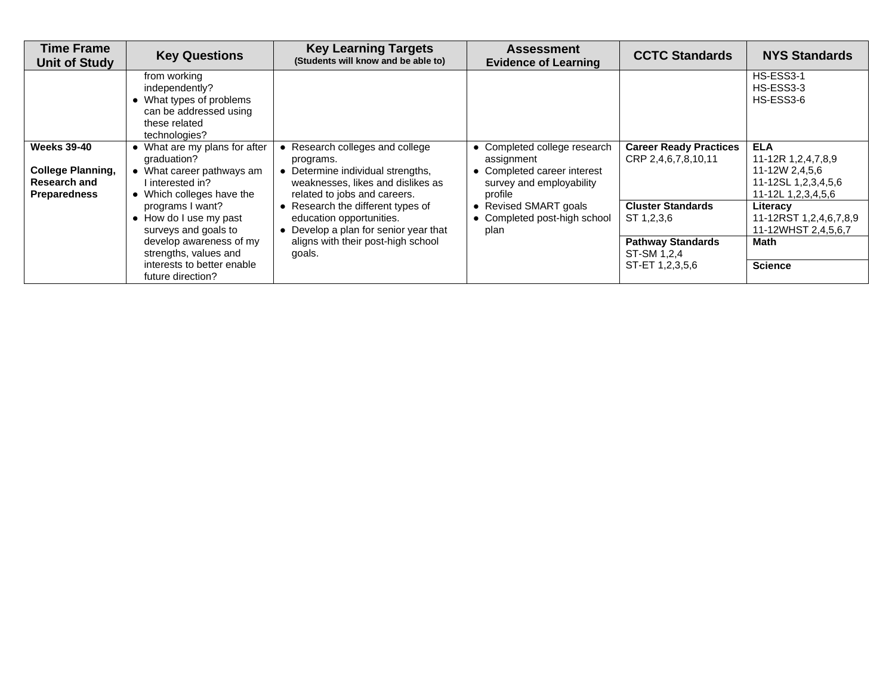| <b>Time Frame</b><br><b>Unit of Study</b>                                                    | <b>Key Questions</b>                                                                                                       | <b>Key Learning Targets</b><br>(Students will know and be able to)                                                                                     | <b>Assessment</b><br><b>Evidence of Learning</b>                                                                 | <b>CCTC Standards</b>                                | <b>NYS Standards</b>                                                                            |
|----------------------------------------------------------------------------------------------|----------------------------------------------------------------------------------------------------------------------------|--------------------------------------------------------------------------------------------------------------------------------------------------------|------------------------------------------------------------------------------------------------------------------|------------------------------------------------------|-------------------------------------------------------------------------------------------------|
|                                                                                              | from working<br>independently?<br>• What types of problems<br>can be addressed using<br>these related<br>technologies?     |                                                                                                                                                        |                                                                                                                  |                                                      | HS-ESS3-1<br>HS-ESS3-3<br>HS-ESS3-6                                                             |
| <b>Weeks 39-40</b><br><b>College Planning,</b><br><b>Research and</b><br><b>Preparedness</b> | • What are my plans for after<br>graduation?<br>• What career pathways am<br>I interested in?<br>• Which colleges have the | • Research colleges and college<br>programs.<br>• Determine individual strengths,<br>weaknesses, likes and dislikes as<br>related to jobs and careers. | • Completed college research<br>assignment<br>• Completed career interest<br>survey and employability<br>profile | <b>Career Ready Practices</b><br>CRP 2,4,6,7,8,10,11 | <b>ELA</b><br>11-12R 1,2,4,7,8,9<br>11-12W 2,4,5,6<br>11-12SL 1,2,3,4,5,6<br>11-12L 1,2,3,4,5,6 |
|                                                                                              | programs I want?<br>• How do I use my past<br>surveys and goals to                                                         | • Research the different types of<br>education opportunities.<br>• Develop a plan for senior year that                                                 | • Revised SMART goals<br>• Completed post-high school<br>plan                                                    | <b>Cluster Standards</b><br>ST 1,2,3,6               | Literacv<br>11-12RST 1,2,4,6,7,8,9<br>11-12WHST 2,4,5,6,7                                       |
|                                                                                              | develop awareness of my<br>strengths, values and                                                                           | aligns with their post-high school<br>goals.                                                                                                           |                                                                                                                  | <b>Pathway Standards</b><br>ST-SM 1,2,4              | Math                                                                                            |
|                                                                                              | interests to better enable<br>future direction?                                                                            |                                                                                                                                                        |                                                                                                                  | ST-ET 1,2,3,5,6                                      | <b>Science</b>                                                                                  |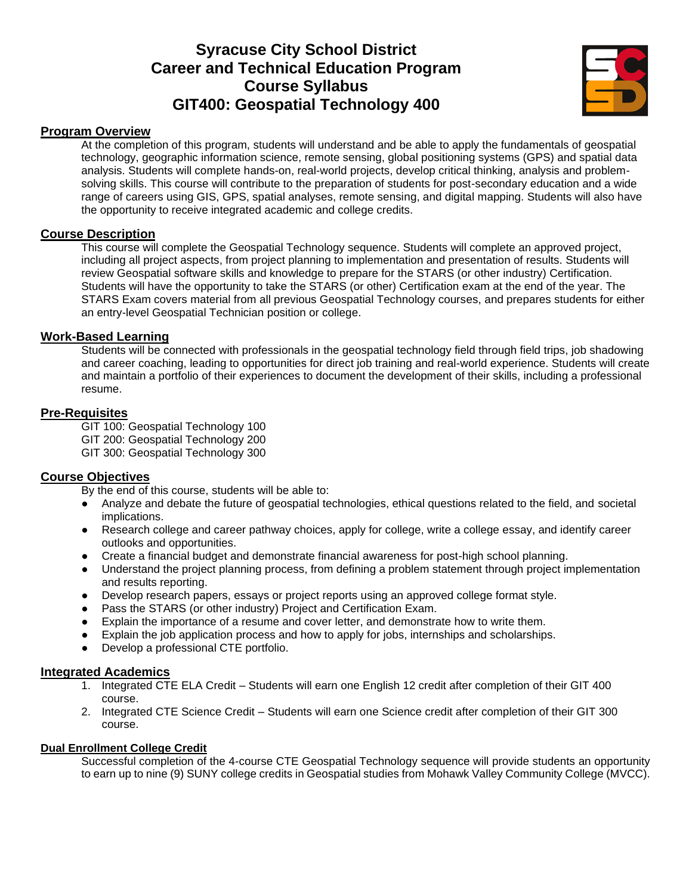## **Syracuse City School District Career and Technical Education Program Course Syllabus GIT400: Geospatial Technology 400**



#### **Program Overview**

At the completion of this program, students will understand and be able to apply the fundamentals of geospatial technology, geographic information science, remote sensing, global positioning systems (GPS) and spatial data analysis. Students will complete hands-on, real-world projects, develop critical thinking, analysis and problemsolving skills. This course will contribute to the preparation of students for post-secondary education and a wide range of careers using GIS, GPS, spatial analyses, remote sensing, and digital mapping. Students will also have the opportunity to receive integrated academic and college credits.

#### **Course Description**

This course will complete the Geospatial Technology sequence. Students will complete an approved project, including all project aspects, from project planning to implementation and presentation of results. Students will review Geospatial software skills and knowledge to prepare for the STARS (or other industry) Certification. Students will have the opportunity to take the STARS (or other) Certification exam at the end of the year. The STARS Exam covers material from all previous Geospatial Technology courses, and prepares students for either an entry-level Geospatial Technician position or college.

#### **Work-Based Learning**

Students will be connected with professionals in the geospatial technology field through field trips, job shadowing and career coaching, leading to opportunities for direct job training and real-world experience. Students will create and maintain a portfolio of their experiences to document the development of their skills, including a professional resume.

#### **Pre-Requisites**

GIT 100: Geospatial Technology 100 GIT 200: Geospatial Technology 200 GIT 300: Geospatial Technology 300

#### **Course Objectives**

By the end of this course, students will be able to:

- Analyze and debate the future of geospatial technologies, ethical questions related to the field, and societal implications.
- Research college and career pathway choices, apply for college, write a college essay, and identify career outlooks and opportunities.
- Create a financial budget and demonstrate financial awareness for post-high school planning.
- Understand the project planning process, from defining a problem statement through project implementation and results reporting.
- Develop research papers, essays or project reports using an approved college format style.
- Pass the STARS (or other industry) Project and Certification Exam.
- Explain the importance of a resume and cover letter, and demonstrate how to write them.
- Explain the job application process and how to apply for jobs, internships and scholarships.
- Develop a professional CTE portfolio.

#### **Integrated Academics**

- 1. Integrated CTE ELA Credit Students will earn one English 12 credit after completion of their GIT 400 course.
- 2. Integrated CTE Science Credit Students will earn one Science credit after completion of their GIT 300 course.

#### **Dual Enrollment College Credit**

Successful completion of the 4-course CTE Geospatial Technology sequence will provide students an opportunity to earn up to nine (9) SUNY college credits in Geospatial studies from Mohawk Valley Community College (MVCC).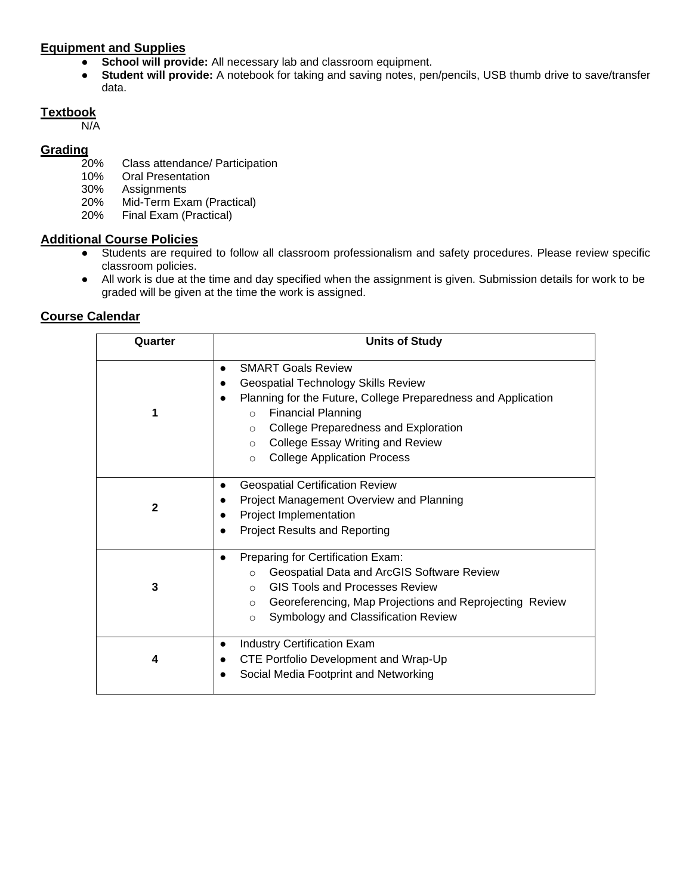#### **Equipment and Supplies**

- **School will provide:** All necessary lab and classroom equipment.
- **Student will provide:** A notebook for taking and saving notes, pen/pencils, USB thumb drive to save/transfer data.

### **Textbook**

N/A

# Grading<sub>20%</sub>

- Class attendance/ Participation
- 10% Oral Presentation
- 30% Assignments
- 20% Mid-Term Exam (Practical)
- 20% Final Exam (Practical)

#### **Additional Course Policies**

- Students are required to follow all classroom professionalism and safety procedures. Please review specific classroom policies.
- All work is due at the time and day specified when the assignment is given. Submission details for work to be graded will be given at the time the work is assigned.

| Quarter      | <b>Units of Study</b>                                                                                                                                                                                                                                                                                                                      |
|--------------|--------------------------------------------------------------------------------------------------------------------------------------------------------------------------------------------------------------------------------------------------------------------------------------------------------------------------------------------|
|              | <b>SMART Goals Review</b><br><b>Geospatial Technology Skills Review</b><br>Planning for the Future, College Preparedness and Application<br><b>Financial Planning</b><br>$\circ$<br><b>College Preparedness and Exploration</b><br>$\circ$<br>College Essay Writing and Review<br>$\circ$<br><b>College Application Process</b><br>$\circ$ |
| $\mathbf{2}$ | <b>Geospatial Certification Review</b><br>$\bullet$<br>Project Management Overview and Planning<br>Project Implementation<br><b>Project Results and Reporting</b>                                                                                                                                                                          |
| 3            | Preparing for Certification Exam:<br>$\bullet$<br>Geospatial Data and ArcGIS Software Review<br>$\circ$<br><b>GIS Tools and Processes Review</b><br>$\circ$<br>Georeferencing, Map Projections and Reprojecting Review<br>$\circ$<br>Symbology and Classification Review<br>$\circ$                                                        |
| 4            | <b>Industry Certification Exam</b><br>$\bullet$<br>CTE Portfolio Development and Wrap-Up<br>Social Media Footprint and Networking                                                                                                                                                                                                          |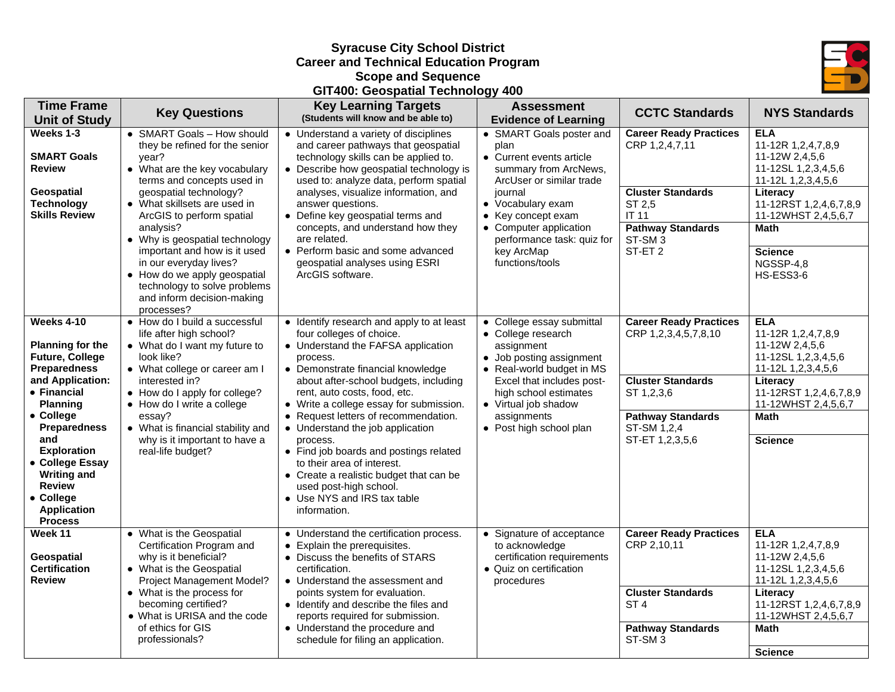#### **Syracuse City School District Career and Technical Education Program Scope and Sequence GIT400: Geospatial Technology 400**



| <b>Time Frame</b><br><b>Unit of Study</b>                                                                                                                                                                                                                                                                                           | <b>Key Questions</b>                                                                                                                                                                                                                                                                                                                                                                                                                             | <b>Key Learning Targets</b><br>(Students will know and be able to)                                                                                                                                                                                                                                                                                                                                                                                                                                                                                                   | <b>Assessment</b><br><b>Evidence of Learning</b>                                                                                                                                                                                                                 | <b>CCTC Standards</b>                                                                                                                                                         | <b>NYS Standards</b>                                                                                                                                                                                             |
|-------------------------------------------------------------------------------------------------------------------------------------------------------------------------------------------------------------------------------------------------------------------------------------------------------------------------------------|--------------------------------------------------------------------------------------------------------------------------------------------------------------------------------------------------------------------------------------------------------------------------------------------------------------------------------------------------------------------------------------------------------------------------------------------------|----------------------------------------------------------------------------------------------------------------------------------------------------------------------------------------------------------------------------------------------------------------------------------------------------------------------------------------------------------------------------------------------------------------------------------------------------------------------------------------------------------------------------------------------------------------------|------------------------------------------------------------------------------------------------------------------------------------------------------------------------------------------------------------------------------------------------------------------|-------------------------------------------------------------------------------------------------------------------------------------------------------------------------------|------------------------------------------------------------------------------------------------------------------------------------------------------------------------------------------------------------------|
| Weeks 1-3<br><b>SMART Goals</b><br><b>Review</b><br>Geospatial<br><b>Technology</b><br><b>Skills Review</b>                                                                                                                                                                                                                         | • SMART Goals - How should<br>they be refined for the senior<br>year?<br>• What are the key vocabulary<br>terms and concepts used in<br>geospatial technology?<br>• What skillsets are used in<br>ArcGIS to perform spatial<br>analysis?<br>• Why is geospatial technology<br>important and how is it used<br>in our everyday lives?<br>• How do we apply geospatial<br>technology to solve problems<br>and inform decision-making<br>processes? | • Understand a variety of disciplines<br>and career pathways that geospatial<br>technology skills can be applied to.<br>• Describe how geospatial technology is<br>used to: analyze data, perform spatial<br>analyses, visualize information, and<br>answer questions.<br>• Define key geospatial terms and<br>concepts, and understand how they<br>are related.<br>• Perform basic and some advanced<br>geospatial analyses using ESRI<br>ArcGIS software.                                                                                                          | • SMART Goals poster and<br>plan<br>• Current events article<br>summary from ArcNews,<br>ArcUser or similar trade<br>journal<br>• Vocabulary exam<br>• Key concept exam<br>• Computer application<br>performance task: quiz for<br>key ArcMap<br>functions/tools | <b>Career Ready Practices</b><br>CRP 1,2,4,7,11<br><b>Cluster Standards</b><br>ST 2,5<br><b>IT 11</b><br><b>Pathway Standards</b><br>ST-SM <sub>3</sub><br>ST-ET <sub>2</sub> | <b>ELA</b><br>11-12R 1,2,4,7,8,9<br>11-12W 2,4,5,6<br>11-12SL 1,2,3,4,5,6<br>11-12L 1,2,3,4,5,6<br>Literacy<br>11-12RST 1,2,4,6,7,8,9<br>11-12WHST 2,4,5,6,7<br>Math<br><b>Science</b><br>NGSSP-4,8<br>HS-ESS3-6 |
| <b>Weeks 4-10</b><br><b>Planning for the</b><br><b>Future, College</b><br><b>Preparedness</b><br>and Application:<br>• Financial<br><b>Planning</b><br>• College<br><b>Preparedness</b><br>and<br><b>Exploration</b><br>• College Essay<br><b>Writing and</b><br><b>Review</b><br>• College<br><b>Application</b><br><b>Process</b> | • How do I build a successful<br>life after high school?<br>• What do I want my future to<br>look like?<br>• What college or career am I<br>interested in?<br>• How do I apply for college?<br>• How do I write a college<br>essay?<br>• What is financial stability and<br>why is it important to have a<br>real-life budget?                                                                                                                   | • Identify research and apply to at least<br>four colleges of choice.<br>• Understand the FAFSA application<br>process.<br>• Demonstrate financial knowledge<br>about after-school budgets, including<br>rent, auto costs, food, etc.<br>• Write a college essay for submission.<br>• Request letters of recommendation.<br>• Understand the job application<br>process.<br>• Find job boards and postings related<br>to their area of interest.<br>• Create a realistic budget that can be<br>used post-high school.<br>• Use NYS and IRS tax table<br>information. | • College essay submittal<br>• College research<br>assignment<br>• Job posting assignment<br>• Real-world budget in MS<br>Excel that includes post-<br>high school estimates<br>• Virtual job shadow<br>assignments<br>• Post high school plan                   | <b>Career Ready Practices</b><br>CRP 1,2,3,4,5,7,8,10<br><b>Cluster Standards</b><br>ST 1,2,3,6<br><b>Pathway Standards</b><br>ST-SM 1,2,4<br>ST-ET 1,2,3,5,6                 | <b>ELA</b><br>11-12R 1,2,4,7,8,9<br>11-12W 2,4,5,6<br>11-12SL 1,2,3,4,5,6<br>11-12L 1,2,3,4,5,6<br>Literacy<br>11-12RST 1,2,4,6,7,8,9<br>11-12WHST 2,4,5,6,7<br><b>Math</b><br><b>Science</b>                    |
| Week 11<br>Geospatial<br><b>Certification</b><br><b>Review</b>                                                                                                                                                                                                                                                                      | • What is the Geospatial<br>Certification Program and<br>why is it beneficial?<br>• What is the Geospatial<br>Project Management Model?<br>• What is the process for<br>becoming certified?<br>• What is URISA and the code<br>of ethics for GIS<br>professionals?                                                                                                                                                                               | • Understand the certification process.<br>Explain the prerequisites.<br>• Discuss the benefits of STARS<br>certification.<br>• Understand the assessment and<br>points system for evaluation.<br>• Identify and describe the files and<br>reports required for submission.<br>• Understand the procedure and<br>schedule for filing an application.                                                                                                                                                                                                                 | • Signature of acceptance<br>to acknowledge<br>certification requirements<br>• Quiz on certification<br>procedures                                                                                                                                               | <b>Career Ready Practices</b><br>CRP 2,10,11<br><b>Cluster Standards</b><br>ST <sub>4</sub><br><b>Pathway Standards</b><br>ST-SM <sub>3</sub>                                 | <b>ELA</b><br>11-12R 1,2,4,7,8,9<br>11-12W 2,4,5,6<br>11-12SL 1,2,3,4,5,6<br>11-12L 1,2,3,4,5,6<br>Literacy<br>11-12RST 1,2,4,6,7,8,9<br>11-12WHST 2,4,5,6,7<br>Math<br><b>Science</b>                           |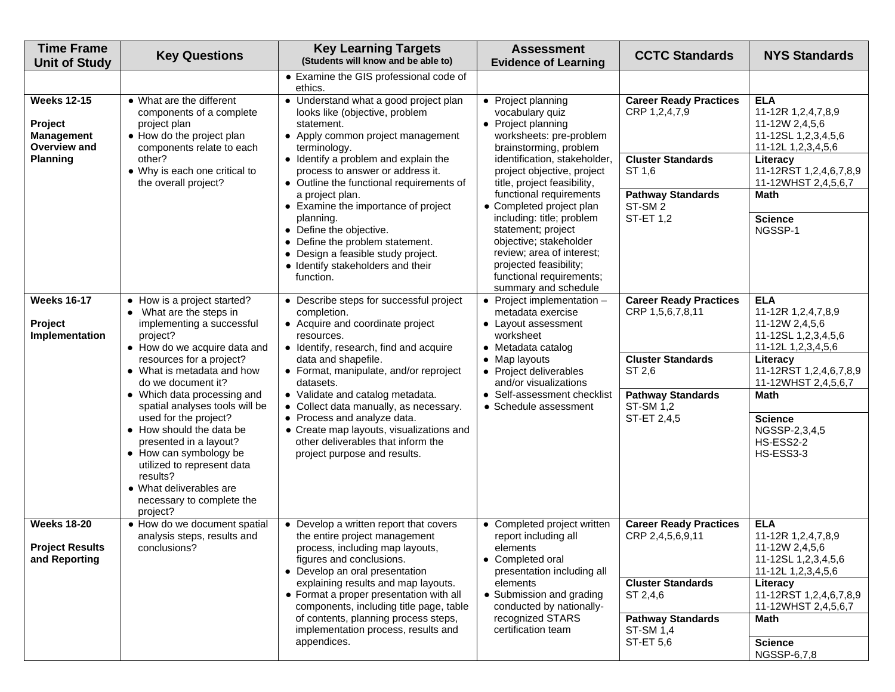| <b>Time Frame</b><br><b>Unit of Study</b>                          | <b>Key Questions</b>                                                                                                                                                                                                                                                                 | <b>Key Learning Targets</b><br>(Students will know and be able to)                                                                                                                                                          | <b>Assessment</b><br><b>Evidence of Learning</b>                                                                                                                                                                                                | <b>CCTC Standards</b>                                            | <b>NYS Standards</b>                                                                            |
|--------------------------------------------------------------------|--------------------------------------------------------------------------------------------------------------------------------------------------------------------------------------------------------------------------------------------------------------------------------------|-----------------------------------------------------------------------------------------------------------------------------------------------------------------------------------------------------------------------------|-------------------------------------------------------------------------------------------------------------------------------------------------------------------------------------------------------------------------------------------------|------------------------------------------------------------------|-------------------------------------------------------------------------------------------------|
|                                                                    |                                                                                                                                                                                                                                                                                      | • Examine the GIS professional code of<br>ethics.                                                                                                                                                                           |                                                                                                                                                                                                                                                 |                                                                  |                                                                                                 |
| <b>Weeks 12-15</b><br>Project<br>Management<br><b>Overview and</b> | • What are the different<br>components of a complete<br>project plan<br>• How do the project plan<br>components relate to each                                                                                                                                                       | • Understand what a good project plan<br>looks like (objective, problem<br>statement.<br>• Apply common project management<br>terminology.                                                                                  | • Project planning<br>vocabulary quiz<br>• Project planning<br>worksheets: pre-problem<br>brainstorming, problem                                                                                                                                | <b>Career Ready Practices</b><br>CRP 1,2,4,7,9                   | <b>ELA</b><br>11-12R 1,2,4,7,8,9<br>11-12W 2,4,5,6<br>11-12SL 1,2,3,4,5,6<br>11-12L 1,2,3,4,5,6 |
| <b>Planning</b>                                                    | other?<br>• Why is each one critical to<br>the overall project?                                                                                                                                                                                                                      | • Identify a problem and explain the<br>process to answer or address it.<br>• Outline the functional requirements of                                                                                                        | identification, stakeholder,<br>project objective, project<br>title, project feasibility,                                                                                                                                                       | <b>Cluster Standards</b><br>ST 1,6                               | Literacy<br>11-12RST 1,2,4,6,7,8,9<br>11-12WHST 2,4,5,6,7                                       |
|                                                                    |                                                                                                                                                                                                                                                                                      | a project plan.<br>• Examine the importance of project                                                                                                                                                                      | functional requirements<br>• Completed project plan                                                                                                                                                                                             | <b>Pathway Standards</b><br>ST-SM <sub>2</sub>                   | <b>Math</b>                                                                                     |
|                                                                    |                                                                                                                                                                                                                                                                                      | planning.<br>• Define the objective.<br>• Define the problem statement.<br>• Design a feasible study project.<br>• Identify stakeholders and their<br>function.                                                             | including: title; problem<br>statement; project<br>objective; stakeholder<br>review; area of interest;<br>projected feasibility;<br>functional requirements;<br>summary and schedule                                                            | <b>ST-ET 1,2</b>                                                 | <b>Science</b><br>NGSSP-1                                                                       |
| <b>Weeks 16-17</b><br>Project<br>Implementation                    | • How is a project started?<br>• What are the steps in<br>implementing a successful<br>project?<br>• How do we acquire data and<br>resources for a project?<br>• What is metadata and how<br>do we document it?<br>datasets.                                                         | • Describe steps for successful project<br>completion.<br>• Acquire and coordinate project<br>resources.<br>• Identify, research, find and acquire<br>data and shapefile.<br>• Format, manipulate, and/or reproject         | $\bullet$ Project implementation $-$<br>metadata exercise<br>• Layout assessment<br>worksheet<br>• Metadata catalog<br>• Map layouts<br>• Project deliverables<br>and/or visualizations<br>• Self-assessment checklist<br>• Schedule assessment | <b>Career Ready Practices</b><br>CRP 1,5,6,7,8,11                | <b>ELA</b><br>11-12R 1,2,4,7,8,9<br>11-12W 2,4,5,6<br>11-12SL 1,2,3,4,5,6<br>11-12L 1,2,3,4,5,6 |
|                                                                    |                                                                                                                                                                                                                                                                                      |                                                                                                                                                                                                                             |                                                                                                                                                                                                                                                 | <b>Cluster Standards</b><br>ST 2,6                               | Literacy<br>11-12RST 1,2,4,6,7,8,9<br>11-12WHST 2,4,5,6,7                                       |
|                                                                    | • Which data processing and<br>spatial analyses tools will be<br>used for the project?<br>• How should the data be<br>presented in a layout?<br>• How can symbology be<br>utilized to represent data<br>results?<br>• What deliverables are<br>necessary to complete the<br>project? | • Validate and catalog metadata.<br>• Collect data manually, as necessary.<br>• Process and analyze data.<br>• Create map layouts, visualizations and<br>other deliverables that inform the<br>project purpose and results. |                                                                                                                                                                                                                                                 | <b>Pathway Standards</b><br><b>ST-SM 1,2</b><br>ST-ET 2,4,5      | <b>Math</b><br><b>Science</b><br>NGSSP-2,3,4,5<br>HS-ESS2-2<br>HS-ESS3-3                        |
| <b>Weeks 18-20</b>                                                 | • How do we document spatial<br>analysis steps, results and                                                                                                                                                                                                                          | • Develop a written report that covers<br>the entire project management                                                                                                                                                     | • Completed project written<br>report including all                                                                                                                                                                                             | <b>Career Ready Practices</b><br>CRP 2,4,5,6,9,11                | <b>ELA</b><br>11-12R 1,2,4,7,8,9                                                                |
| <b>Project Results</b><br>and Reporting                            | conclusions?<br>process, including map layouts,<br>figures and conclusions.<br>• Develop an oral presentation                                                                                                                                                                        | elements<br>• Completed oral<br>presentation including all                                                                                                                                                                  |                                                                                                                                                                                                                                                 | 11-12W 2,4,5,6<br>11-12SL 1,2,3,4,5,6<br>11-12L 1,2,3,4,5,6      |                                                                                                 |
|                                                                    |                                                                                                                                                                                                                                                                                      | explaining results and map layouts.<br>• Format a proper presentation with all<br>components, including title page, table<br>of contents, planning process steps,<br>implementation process, results and<br>appendices.     | elements<br>• Submission and grading<br>conducted by nationally-<br>recognized STARS<br>certification team                                                                                                                                      | <b>Cluster Standards</b><br>ST 2,4,6                             | Literacy<br>11-12RST 1,2,4,6,7,8,9<br>11-12WHST 2,4,5,6,7                                       |
|                                                                    |                                                                                                                                                                                                                                                                                      |                                                                                                                                                                                                                             |                                                                                                                                                                                                                                                 | <b>Pathway Standards</b><br><b>ST-SM 1,4</b><br><b>ST-ET 5,6</b> | <b>Math</b>                                                                                     |
|                                                                    |                                                                                                                                                                                                                                                                                      |                                                                                                                                                                                                                             |                                                                                                                                                                                                                                                 |                                                                  | <b>Science</b><br>NGSSP-6,7,8                                                                   |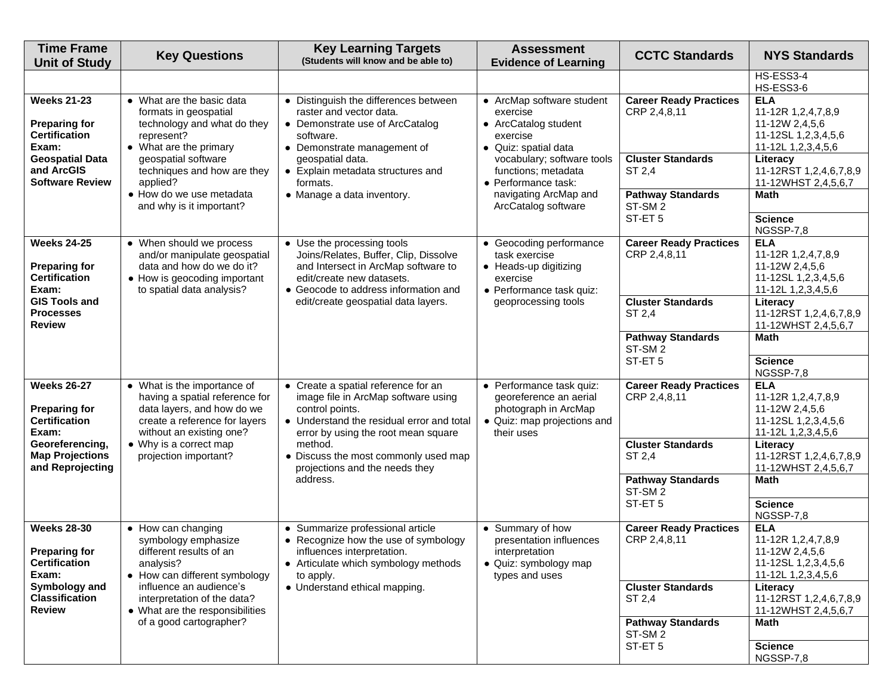| <b>Time Frame</b><br><b>Unit of Study</b>                                                                                              | <b>Key Questions</b>                                                                                                                                                                                                                       | <b>Key Learning Targets</b><br>(Students will know and be able to)                                                                                                                                                                                                                 | <b>Assessment</b><br><b>Evidence of Learning</b>                                                                                                                                                                              | <b>CCTC Standards</b>                                                | <b>NYS Standards</b>                                                                            |
|----------------------------------------------------------------------------------------------------------------------------------------|--------------------------------------------------------------------------------------------------------------------------------------------------------------------------------------------------------------------------------------------|------------------------------------------------------------------------------------------------------------------------------------------------------------------------------------------------------------------------------------------------------------------------------------|-------------------------------------------------------------------------------------------------------------------------------------------------------------------------------------------------------------------------------|----------------------------------------------------------------------|-------------------------------------------------------------------------------------------------|
|                                                                                                                                        |                                                                                                                                                                                                                                            |                                                                                                                                                                                                                                                                                    |                                                                                                                                                                                                                               |                                                                      | HS-ESS3-4<br>HS-ESS3-6                                                                          |
| <b>Weeks 21-23</b><br><b>Preparing for</b><br><b>Certification</b><br>Exam:                                                            | • What are the basic data<br>formats in geospatial<br>technology and what do they<br>represent?<br>• What are the primary<br>geospatial software<br>techniques and how are they<br>applied?                                                | • Distinguish the differences between<br>raster and vector data.<br>• Demonstrate use of ArcCatalog<br>software.<br>• Demonstrate management of<br>geospatial data.<br>• Explain metadata structures and<br>formats.                                                               | • ArcMap software student<br>exercise<br>• ArcCatalog student<br>exercise<br>· Quiz: spatial data<br>vocabulary; software tools<br>functions; metadata<br>• Performance task:<br>navigating ArcMap and<br>ArcCatalog software | <b>Career Ready Practices</b><br>CRP 2,4,8,11                        | <b>ELA</b><br>11-12R 1,2,4,7,8,9<br>11-12W 2,4,5,6<br>11-12SL 1,2,3,4,5,6<br>11-12L 1,2,3,4,5,6 |
| <b>Geospatial Data</b><br>and ArcGIS<br><b>Software Review</b>                                                                         |                                                                                                                                                                                                                                            |                                                                                                                                                                                                                                                                                    |                                                                                                                                                                                                                               | <b>Cluster Standards</b><br>ST 2,4                                   | Literacy<br>11-12RST 1,2,4,6,7,8,9<br>11-12WHST 2,4,5,6,7                                       |
|                                                                                                                                        | • How do we use metadata<br>and why is it important?                                                                                                                                                                                       | • Manage a data inventory.                                                                                                                                                                                                                                                         |                                                                                                                                                                                                                               | <b>Pathway Standards</b><br>ST-SM <sub>2</sub>                       | <b>Math</b>                                                                                     |
|                                                                                                                                        |                                                                                                                                                                                                                                            |                                                                                                                                                                                                                                                                                    |                                                                                                                                                                                                                               | ST-ET <sub>5</sub>                                                   | <b>Science</b><br>NGSSP-7,8                                                                     |
| <b>Weeks 24-25</b><br><b>Preparing for</b><br><b>Certification</b><br>Exam:                                                            | • When should we process<br>and/or manipulate geospatial<br>data and how do we do it?<br>• How is geocoding important<br>to spatial data analysis?                                                                                         | • Use the processing tools<br>Joins/Relates, Buffer, Clip, Dissolve<br>and Intersect in ArcMap software to<br>edit/create new datasets.<br>• Geocode to address information and<br>edit/create geospatial data layers.                                                             | • Geocoding performance<br>task exercise<br>• Heads-up digitizing<br>exercise<br>• Performance task quiz:<br>geoprocessing tools                                                                                              | <b>Career Ready Practices</b><br>CRP 2,4,8,11                        | <b>ELA</b><br>11-12R 1,2,4,7,8,9<br>11-12W 2,4,5,6<br>11-12SL 1,2,3,4,5,6<br>11-12L 1,2,3,4,5,6 |
| <b>GIS Tools and</b><br><b>Processes</b><br><b>Review</b>                                                                              |                                                                                                                                                                                                                                            |                                                                                                                                                                                                                                                                                    |                                                                                                                                                                                                                               | <b>Cluster Standards</b><br>ST 2,4                                   | Literacy<br>11-12RST 1,2,4,6,7,8,9<br>11-12WHST 2,4,5,6,7                                       |
|                                                                                                                                        |                                                                                                                                                                                                                                            |                                                                                                                                                                                                                                                                                    |                                                                                                                                                                                                                               | <b>Pathway Standards</b><br>ST-SM <sub>2</sub><br>ST-ET <sub>5</sub> | <b>Math</b>                                                                                     |
|                                                                                                                                        |                                                                                                                                                                                                                                            |                                                                                                                                                                                                                                                                                    |                                                                                                                                                                                                                               |                                                                      | <b>Science</b><br>NGSSP-7,8                                                                     |
| <b>Weeks 26-27</b><br><b>Preparing for</b><br><b>Certification</b><br>Exam:                                                            | • What is the importance of<br>having a spatial reference for<br>data layers, and how do we<br>create a reference for layers<br>without an existing one?<br>• Why is a correct map<br>projection important?                                | • Create a spatial reference for an<br>image file in ArcMap software using<br>control points.<br>• Understand the residual error and total<br>error by using the root mean square<br>method.<br>• Discuss the most commonly used map<br>projections and the needs they<br>address. | • Performance task quiz:<br>georeference an aerial<br>photograph in ArcMap<br>• Quiz: map projections and<br>their uses                                                                                                       | <b>Career Ready Practices</b><br>CRP 2,4,8,11                        | <b>ELA</b><br>11-12R 1,2,4,7,8,9<br>11-12W 2,4,5,6<br>11-12SL 1,2,3,4,5,6<br>11-12L 1,2,3,4,5,6 |
| Georeferencing,<br><b>Map Projections</b><br>and Reprojecting                                                                          |                                                                                                                                                                                                                                            |                                                                                                                                                                                                                                                                                    |                                                                                                                                                                                                                               | <b>Cluster Standards</b><br>ST 2,4                                   | Literacy<br>11-12RST 1,2,4,6,7,8,9<br>11-12WHST 2,4,5,6,7                                       |
|                                                                                                                                        |                                                                                                                                                                                                                                            |                                                                                                                                                                                                                                                                                    |                                                                                                                                                                                                                               | <b>Pathway Standards</b><br>ST-SM <sub>2</sub>                       | <b>Math</b>                                                                                     |
|                                                                                                                                        |                                                                                                                                                                                                                                            |                                                                                                                                                                                                                                                                                    |                                                                                                                                                                                                                               | ST-ET <sub>5</sub>                                                   | <b>Science</b><br>NGSSP-7,8                                                                     |
| <b>Weeks 28-30</b><br><b>Preparing for</b><br><b>Certification</b><br>Exam:<br>Symbology and<br><b>Classification</b><br><b>Review</b> | • How can changing<br>symbology emphasize<br>different results of an<br>analysis?<br>• How can different symbology<br>influence an audience's<br>interpretation of the data?<br>• What are the responsibilities<br>of a good cartographer? | • Summarize professional article<br>• Recognize how the use of symbology<br>influences interpretation.<br>• Articulate which symbology methods<br>to apply.<br>• Understand ethical mapping.                                                                                       | • Summary of how<br>presentation influences<br>interpretation<br>· Quiz: symbology map<br>types and uses                                                                                                                      | <b>Career Ready Practices</b><br>CRP 2,4,8,11                        | <b>ELA</b><br>11-12R 1,2,4,7,8,9<br>11-12W 2,4,5,6<br>11-12SL 1,2,3,4,5,6<br>11-12L 1,2,3,4,5,6 |
|                                                                                                                                        |                                                                                                                                                                                                                                            |                                                                                                                                                                                                                                                                                    |                                                                                                                                                                                                                               | <b>Cluster Standards</b><br>ST 2,4                                   | Literacy<br>11-12RST 1,2,4,6,7,8,9<br>11-12WHST 2,4,5,6,7                                       |
|                                                                                                                                        |                                                                                                                                                                                                                                            |                                                                                                                                                                                                                                                                                    |                                                                                                                                                                                                                               | <b>Pathway Standards</b><br>ST-SM <sub>2</sub>                       | Math                                                                                            |
|                                                                                                                                        |                                                                                                                                                                                                                                            |                                                                                                                                                                                                                                                                                    |                                                                                                                                                                                                                               | ST-ET <sub>5</sub>                                                   | <b>Science</b><br>NGSSP-7,8                                                                     |